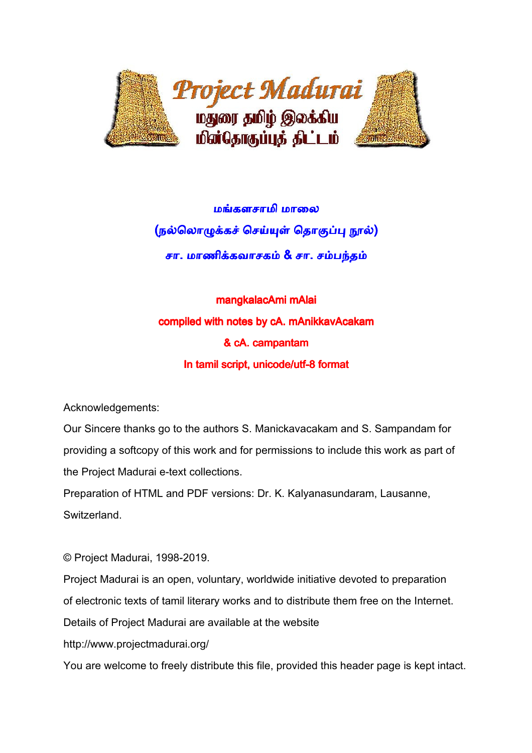

மங்களசாமி மாலை <u>(நல்லொழுக்கச் செய்யுள் தொகுப்பு ந</u>ூல்) சா. மாணிக்கவாசகம் & சா. சம்பந்தம்

mangkalacAmi mAlai compiled with notes by cA. mAnikkavAcakam & cA. campantam In tamil script, unicode/utf-8 format

Acknowledgements:

Our Sincere thanks go to the authors S. Manickavacakam and S. Sampandam for providing a softcopy of this work and for permissions to include this work as part of the Project Madurai e-text collections.

Preparation of HTML and PDF versions: Dr. K. Kalyanasundaram, Lausanne, Switzerland.

© Project Madurai, 1998-2019.

Project Madurai is an open, voluntary, worldwide initiative devoted to preparation

of electronic texts of tamil literary works and to distribute them free on the Internet.

Details of Project Madurai are available at the website

http://www.projectmadurai.org/

You are welcome to freely distribute this file, provided this header page is kept intact.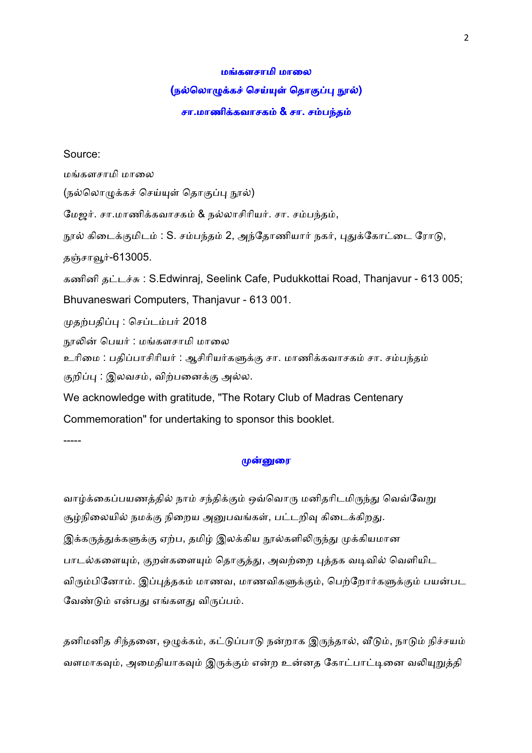#### மங்களசாமி மாலை

#### (நல்லொழுக்கச் செய்யுள் தொகுப்பு நூல்)

#### சா.மாணிக்கவாசகம் & சா. சம்பந்தம்

#### Source:

மங்களசாமி மாலை (நல்லொமுக்கச் செய்யுள் தொகுப்பு நூல்) மேஜர். சா.மாணிக்கவாசகம் & நல்லாசிரியர். சா. சம்பந்தம், நூல் கிடைக்குமிடம் : S. சம்பந்தம் 2, அந்தோணியார் நகர், புதுக்கோட்டை ரோடு, தஞ்சாவூர்-613005. கணினி தட்டச்சு: S.Edwinraj, Seelink Cafe, Pudukkottai Road, Thanjavur - 613 005; Bhuvaneswari Computers, Thanjavur - 613 001. முதற்பதிப்பு : செப்டம்பர் 2018 நூலின் பெயர் : மங்களசாமி மாலை உரிமை : பதிப்பாசிரியர் : ஆசிரியர்களுக்கு சா. மாணிக்கவாசகம் சா. சம்பந்தம் குறிப்பு : இலவசம், விற்பனைக்கு அல்ல. We acknowledge with gratitude, "The Rotary Club of Madras Centenary Commemoration" for undertaking to sponsor this booklet. -----

#### முன்னுரை

வாழ்க்கைப்பயணத்தில் நாம் சந்திக்கும் ஒவ்வொரு மனிதரிடமிருந்து வெவ்வேறு சூழ்நிலையில் நமக்கு நிறைய அனுபவங்கள், பட்டறிவு கிடைக்கிறது. இக்கருத்துக்களுக்கு ஏற்ப, தமிழ் இலக்கிய நூல்களிலிருந்து முக்கியமான பாடல்களையும், குறள்களையும் தொகுத்து, அவற்றை புத்தக வடிவில் வெளியிட விரும்பினோம். இப்புத்தகம் மாணவ, மாணவிகளுக்கும், பெற்றோர்களுக்கும் பயன்பட வேண்டும் என்பது எங்களது விருப்பம்.

தனிமனித சிந்தனை, ஒழுக்கம், கட்டுப்பாடு நன்றாக இருந்தால், வீடும், நாடும் நிச்சயம் வளமாகவும், அமைதியாகவும் இருக்கும் என்ற உன்னத கோட்பாட்டினை வலியுறுத்தி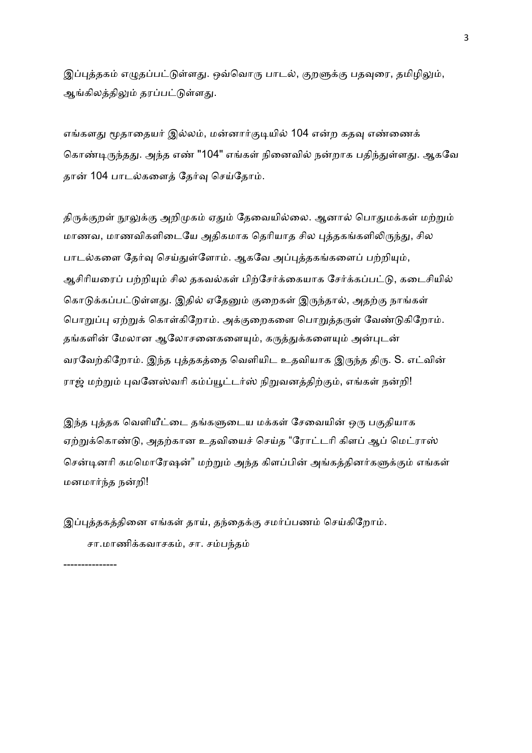இப்புத்தகம் எழுதப்பட்டுள்ளது. ஒவ்வொரு பாடல், குறளுக்கு பதவுரை, தமிழிலும், ஆங்கிலத்திலும் தரப்பட்டுள்ளது.

எங்களது மூதாதையர் இல்லம், மன்னார்குடியில் 104 என்ற கதவு எண்ணைக் கொண்டிருந்தது. அந்த எண் "104" எங்கள் நினைவில் நன்றாக பதிந்துள்ளது. ஆகவே தான் 104 பாடல்களைத் தேர்வு செய்தோம்.

திருக்குறள் நூலுக்கு அறிமுகம் ஏதும் தேவையில்லை. ஆனால் பொதுமக்கள் மற்றும் மாணவ, மாணவிகளிடையே அதிகமாக தெரியாத சில புத்தகங்களிலிருந்து, சில பாடல்களை தேர்வு செய்துள்ளோம். ஆகவே அப்புத்தகங்களைப் பற்றியும், ஆசிரியரைப் பற்றியும் சில தகவல்கள் பிற்சேர்க்கையாக சேர்க்கப்பட்டு, கடைசியில் கொடுக்கப்பட்டுள்ளது. இதில் ஏதேனும் குறைகள் இருந்தால், அதற்கு நாங்கள் பொறுப்பு ஏற்றுக் கொள்கிறோம். அக்குறைகளை பொறுத்தருள் வேண்டுகிறோம். தங்களின் மேலான ஆலோசனைகளையும், கருத்துக்களையும் அன்புடன் வரவேற்கிறோம். இந்த புத்தகத்தை வெளியிட உதவியாக இருந்த திரு. S. எட்வின் ராஜ் மற்றும் புவனேஸ்வரி கம்ப்யூட்டர்ஸ் நிறுவனத்திற்கும், எங்கள் நன்றி!

இந்த புத்தக வெளியீட்டை தங்களுடைய மக்கள் சேவையின் ஒரு பகுதியாக ஏற்றுக்கொண்டு, அதற்கான உதவியைச் செய்த "ரோட்டரி கிளப் ஆப் மெட்ராஸ் சென்டினரி கமமொரேஷன்" மற்றும் அந்த கிளப்பின் அங்கத்தினர்களுக்கும் எங்கள் மனமார்ந்த நன்றி!

இப்புத்தகத்தினை எங்கள் தாய், தந்தைக்கு சமர்ப்பணம் செய்கிறோம். சா.மாணிக்கவாசகம், சா. சம்பந்தம்

---------------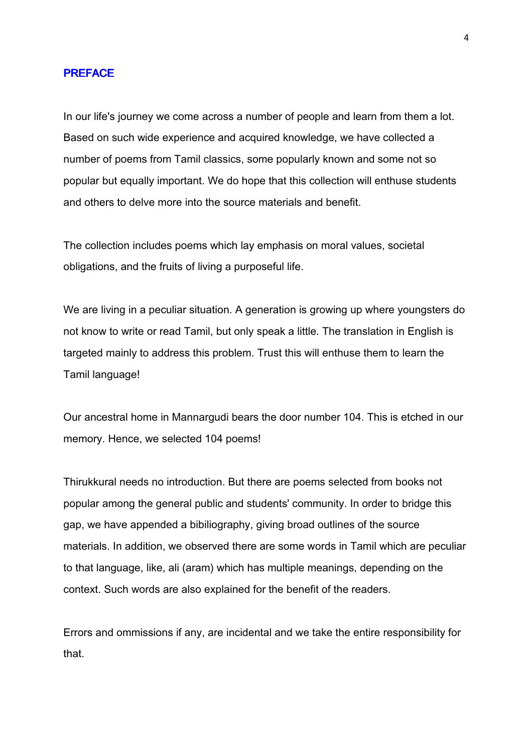#### **PREFACE**

In our life's journey we come across a number of people and learn from them a lot. Based on such wide experience and acquired knowledge, we have collected a number of poems from Tamil classics, some popularly known and some not so popular but equally important. We do hope that this collection will enthuse students and others to delve more into the source materials and benefit.

The collection includes poems which lay emphasis on moral values, societal obligations, and the fruits of living a purposeful life.

We are living in a peculiar situation. A generation is growing up where youngsters do not know to write or read Tamil, but only speak a little. The translation in English is targeted mainly to address this problem. Trust this will enthuse them to learn the Tamil language!

Our ancestral home in Mannargudi bears the door number 104. This is etched in our memory. Hence, we selected 104 poems!

Thirukkural needs no introduction. But there are poems selected from books not popular among the general public and students' community. In order to bridge this gap, we have appended a bibiliography, giving broad outlines of the source materials. In addition, we observed there are some words in Tamil which are peculiar to that language, like, ali (aram) which has multiple meanings, depending on the context. Such words are also explained for the benefit of the readers.

Errors and ommissions if any, are incidental and we take the entire responsibility for that.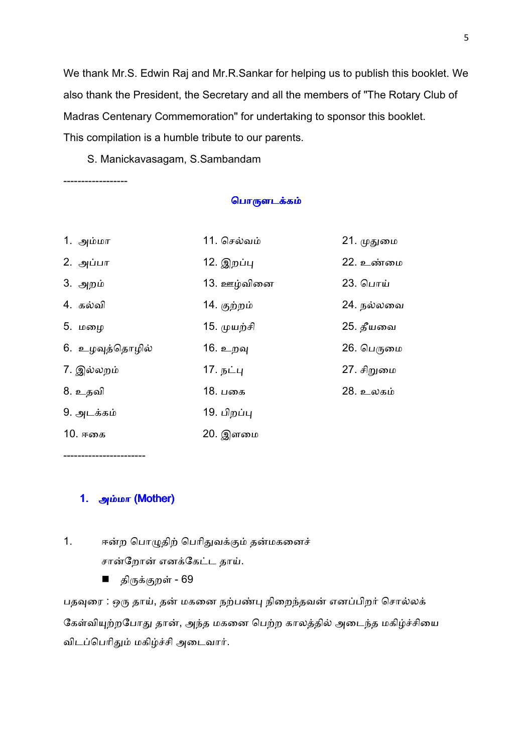We thank Mr.S. Edwin Raj and Mr.R.Sankar for helping us to publish this booklet. We also thank the President, the Secretary and all the members of "The Rotary Club of Madras Centenary Commemoration" for undertaking to sponsor this booklet. This compilation is a humble tribute to our parents.

S. Manickavasagam, S.Sambandam

------------------

### பொருளடக்கம்

| 1. அம்மா        | 11. செல்வம் | 21. முதுமை |
|-----------------|-------------|------------|
| 2. அப்பா        | 12. இறப்பு  | 22. உண்மை  |
| 3. அறம்         | 13. ஊழ்வினை | 23. பொய்   |
| 4. கல்வி        | 14. குற்றம் | 24. நல்லவை |
| 5. மழை          | 15. முயற்சி | 25. தீயவை  |
| 6. உழவுத்தொழில் | 16. உறவு    | 26. பெருமை |
| 7. இல்லறம்      | 17. நட்பு   | 27. சிறுமை |
| 8. உதவி         | 18. பகை     | 28. உலகம்  |
| 9. அடக்கம்      | 19. பிறப்பு |            |
| 10. ஈகை         | 20. இளமை    |            |

-----------------------

# 1. அம்மா (Mother)

- 1. ஈன்ற பொழுதிற் பெரிதுவக்கும் தன்மகனைச் சான்றோன் எனக்கேட்ட தாய்.
	- திருக்குறள் 69

பதவுரை : ஒரு தாய், தன் மகனை நற்பண்பு நிறைந்தவன் எனப்பிறர் சொல்லக் கேள்வியுற்றபோது தான், அந்த மகனை பெற்ற காலத்தில் அடைந்த மகிழ்ச்சியை விடப்பெரிதும் மகிழ்ச்சி அடைவார்.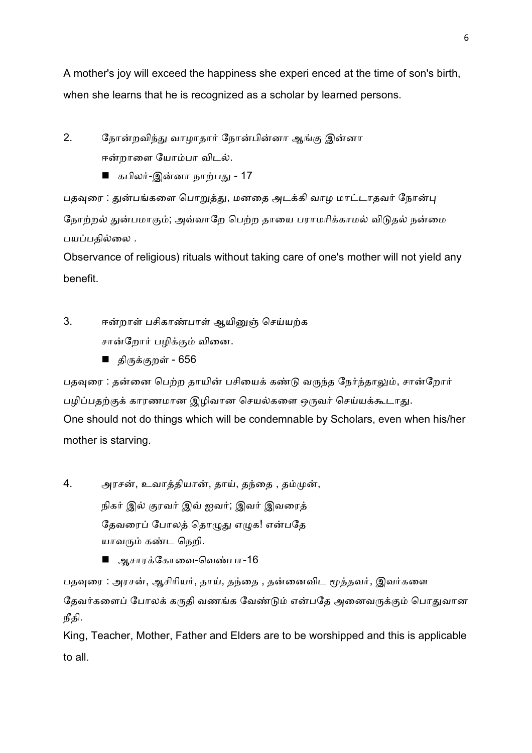A mother's joy will exceed the happiness she experi enced at the time of son's birth, when she learns that he is recognized as a scholar by learned persons.

2. நோன்றவிந்து வாழாதார் நோன்பின்னா ஆங்கு இன்னா ஈன்றாளை யோம்பா விடல்.

■ கபிலர்-இன்னா நாற்பது - 17

பதவுரை : துன்பங்களை பொறுத்து, மனதை அடக்கி வாழ மாட்டாதவர் நோன்பு நோற்றல் துன்பமாகும்; அவ்வாறே பெற்ற தாயை பராமரிக்காமல் விடுதல் நன்மை பயப்பதில்லை .

Observance of religious) rituals without taking care of one's mother will not yield any benefit.

3. ஈன்றாள் பசிகாண்பாள் ஆயினுஞ் செய்யற்க சான்றோர் பழிக்கும் வினை.

■ திருக்குறள் - 656

பதவுரை : தன்னை பெற்ற தாயின் பசியைக் கண்டு வருந்த நேர்ந்தாலும், சான்றோர் பழிப்பதற்குக் காரணமான இழிவான செயல்களை ஒருவர் செய்யக்கூடாது. One should not do things which will be condemnable by Scholars, even when his/her mother is starving.

4. அரசன், உவாத்தியான், தாய், தந்தை , தம்முன், நிகர் இல் குரவர் இவ் ஐவர்; இவர் இவரைத் தேவரைப் போலத் தொமுது எமுக! என்பதே யாவரும் கண்ட நெறி.

■ ஆசாரக்கோவை-வெண்பா-16

பதவுரை : அரசன், ஆசிரியர், தாய், தந்தை , தன்னைவிட மூத்தவர், இவர்களை தேவர்களைப் போலக் கருதி வணங்க வேண்டும் என்பதே அனைவருக்கும் பொதுவான நீதி.

King, Teacher, Mother, Father and Elders are to be worshipped and this is applicable to all.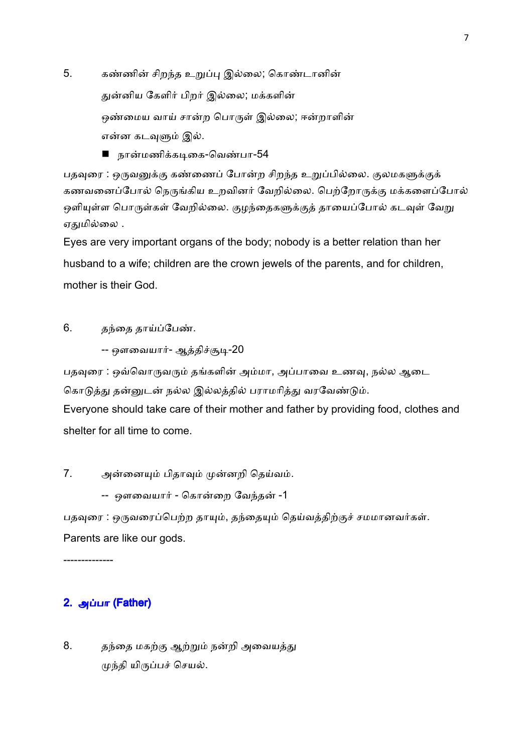5. கண்ணின் சிறந்த உறுப்பு இல்லை; கொண்டானின் துன்னிய கேளிர் பிறர் இல்லை; மக்களின் ஒண்மைய வாய் சான்ற பொருள் இல்லை; ஈன்றாளின் என்ன கடவுளும் இல்.

■ நான்மணிக்கடிகை-வெண்பா-54

பதவுரை : ஒருவனுக்கு கண்ணைப் போன்ற சிறந்த உறுப்பில்லை. குலமகளுக்குக் கணவனைப்போல் நெருங்கிய உறவினர் வேறில்லை. பெற்றோருக்கு மக்களைப்போல் ஒளியுள்ள பொருள்கள் வேறில்லை. குழந்தைகளுக்குத் தாயைப்போல் கடவுள் வேறு ஏதுமில்லை .

Eyes are very important organs of the body; nobody is a better relation than her husband to a wife; children are the crown jewels of the parents, and for children, mother is their God.

6. தந்தை தாய்ப்பேண்.

```
-- ஔவையார்- ஆத்திச்சூடி-20
```
பதவுரை : ஒவ்வொருவரும் தங்களின் அம்மா, அப்பாவை உணவு, நல்ல ஆடை கொடுத்து தன்னுடன் நல்ல இல்லத்தில் பராமரித்து வரவேண்டும். Everyone should take care of their mother and father by providing food, clothes and shelter for all time to come.

7. அன்னையும் பிதாவும் முன்னறி தெய்வம்.

-- ஔவையார் - கொன்றை வேந்தன் -1

பதவுரை : ஒருவரைப்பெற்ற தாயும், தந்தையும் தெய்வத்திற்குச் சமமானவர்கள். Parents are like our gods.

--------------

# $2.$  அப்பா (Father)

8. தந்தை மகற்கு ஆற்றும் நன்றி அவையத்து முந்தி யிருப்பச் செயல்.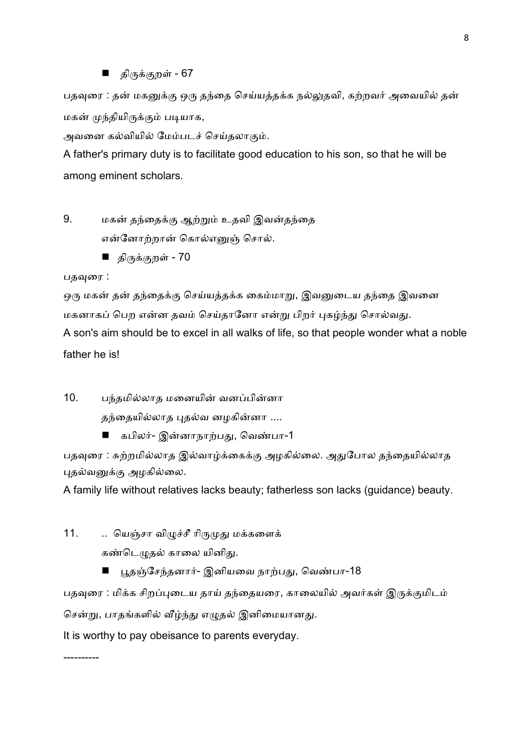### ■ திருக்குறள் - 67

பதவுரை : தன் மகனுக்கு ஒரு தந்தை செய்யத்தக்க நல்லுதவி, கற்றவர் அவையில் தன் மகன் முந்தியிருக்கும் படியாக,

அவனை கல்வியில் மேம்படச் செய்தலாகும்.

A father's primary duty is to facilitate good education to his son, so that he will be among eminent scholars.

9. மகன் தந்தைக்கு ஆற்றும் உதவி இவன்தந்தை என்னோற்றான் கொல்எனுஞ் சொல்.

■ திருக்குறள் - 70

### பதவுரை :

----------

ஒரு மகன் தன் தந்தைக்கு செய்யத்தக்க கைம்மாறு, இவனுடைய தந்தை இவனை மகனாகப் பெற என்ன தவம் செய்தானோ என்று பிறர் புகழ்ந்து சொல்வது.

A son's aim should be to excel in all walks of life, so that people wonder what a noble father he is!

10. பந்தமில்லாத மனையின் வனப்பின்னா

தந்தையில்லாத புதல்வ னழகின்னா ....

■ கபிலர்- இன்னாநாற்பது, வெண்பா-1

பதவுரை : சுற்றமில்லாத இல்வாழ்க்கைக்கு அழகில்லை. அதுபோல தந்தையில்லாத புதல்வனுக்கு அழகில்லை.

A family life without relatives lacks beauty; fatherless son lacks (guidance) beauty.

11. .. யெஞ்சா விழுச்சீ ரிருமுது மக்களைக் கண்டெமுகல் காலை யினிது.

■ பூதஞ்சேந்தனார்- இனியவை நாற்பது, வெண்பா-18

பதவுரை : மிக்க சிறப்புடைய தாய் தந்தையரை, காலையில் அவர்கள் இருக்குமிடம்

சென்று, பாதங்களில் வீழ்ந்து எழுதல் இனிமையானது.

It is worthy to pay obeisance to parents everyday.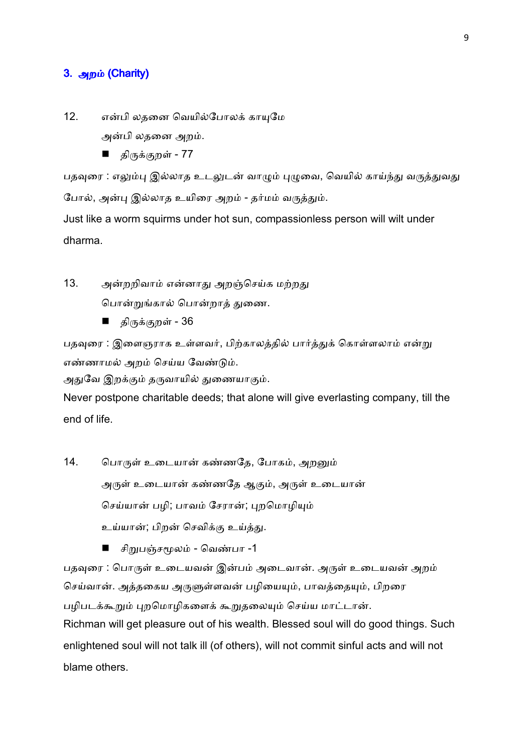# 3. அறம் (Charity)

- 12. என்பி லதனை வெயில்போலக் காயுமே அன்பி லதனை அறம்.
	- திருக்குறள் 77

பதவுரை : எலும்பு இல்லாத உடலுடன் வாழும் புழுவை, வெயில் காய்ந்து வருத்துவது போல், அன்பு இல்லாத உயிரை அறம் - தர்மம் வருத்தும்.

Just like a worm squirms under hot sun, compassionless person will wilt under dharma.

- 13. அன்றறிவாம் என்னாது அறஞ்செய்க மற்றது பொன்றுங்கால் பொன்றாத் துணை.
	- திருக்குறள் 36

பதவுரை : இளைஞராக உள்ளவர், பிற்காலத்தில் பார்த்துக் கொள்ளலாம் என்று எண்ணாமல் அறம் செய்ய வேண்டும்.

அதுவே இறக்கும் தருவாயில் துணையாகும்.

Never postpone charitable deeds; that alone will give everlasting company, till the end of life.

14. பொருள் உடையான் கண்ணதே, போகம், அறனும் அருள் உடையான் கண்ணதே ஆகும், அருள் உடையான் செய்யான் பழி; பாவம் சேரான்; புறமொழியும் உய்யான்; பிறன் செவிக்கு உய்த்து.

■ சிறுபஞ்சமூலம் - வெண்பா -1

பதவுரை : பொருள் உடையவன் இன்பம் அடைவான். அருள் உடையவன் அறம் செய்வான். அத்தகைய அருளுள்ளவன் பழியையும், பாவத்தையும், பிறரை பழிபடக்கூறும் புறமொழிகளைக் கூறுதலையும் செய்ய மாட்டான். Richman will get pleasure out of his wealth. Blessed soul will do good things. Such enlightened soul will not talk ill (of others), will not commit sinful acts and will not blame others.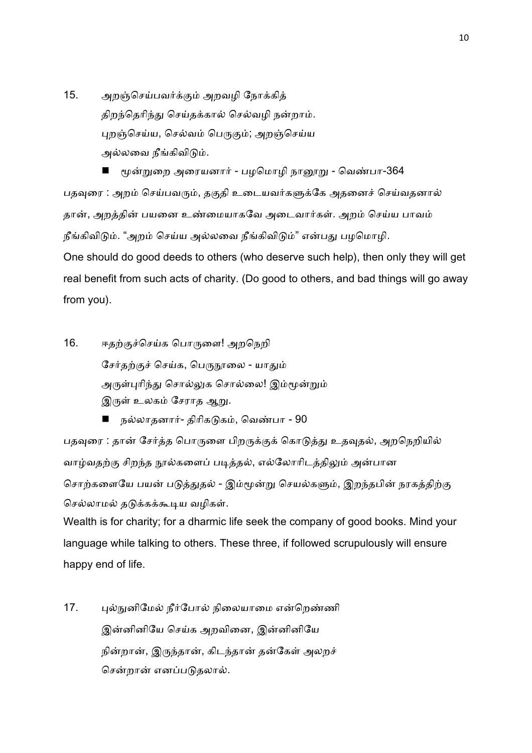15. அறஞ்செய்பவர்க்கும் அறவழி நோக்கித் திறந்தெரிந்து செய்தக்கால் செல்வழி நன்றாம். புறஞ்செய்ய, செல்வம் பெருகும்; அறஞ்செய்ய அல்லவை நீங்கிவிடும்.

மூன்றுறை அரையனார் - பழமொழி நானூறு - வெண்பா-364 பதவுரை : அறம் செய்பவரும், தகுதி உடையவர்களுக்கே அதனைச் செய்வதனால் தான், அறத்தின் பயனை உண்மையாகவே அடைவார்கள். அறம் செய்ய பாவம் நீங்கிவிடும். "அறம் செய்ய அல்லவை நீங்கிவிடும்" என்பது பழமொழி. One should do good deeds to others (who deserve such help), then only they will get real benefit from such acts of charity. (Do good to others, and bad things will go away from you).

- 16. ஈதற்குச்செய்க பொருளை! அறநெறி சேர்தற்குச் செய்க, பெருநூலை - யாதும் அருள்புரிந்து சொல்லுக சொல்லை! இம்மூன்றும் இருள் உலகம் சேராத ஆறு.
	- நல்லாதனார்- திரிகடுகம், வெண்பா 90

பதவுரை : தான் சேர்த்த பொருளை பிறருக்குக் கொடுத்து உதவுதல், அறநெறியில் வாழ்வதற்கு சிறந்த நூல்களைப் படித்தல், எல்லோரிடத்திலும் அன்பான சொற்களையே பயன் படுத்துதல் - இம்மூன்று செயல்களும், இறந்தபின் நரகத்திற்கு செல்லாமல் தடுக்கக்கூடிய வழிகள்.

Wealth is for charity; for a dharmic life seek the company of good books. Mind your language while talking to others. These three, if followed scrupulously will ensure happy end of life.

17. பல்நுனிமேல் நீர்போல் நிலையாமை என்றெண்ணி இன்னினியே செய்க அறவினை, இன்னினியே நின்றான், இருந்தான், கிடந்தான் தன்கேள் அலறச் சென்றான் எனப்படுதலால்.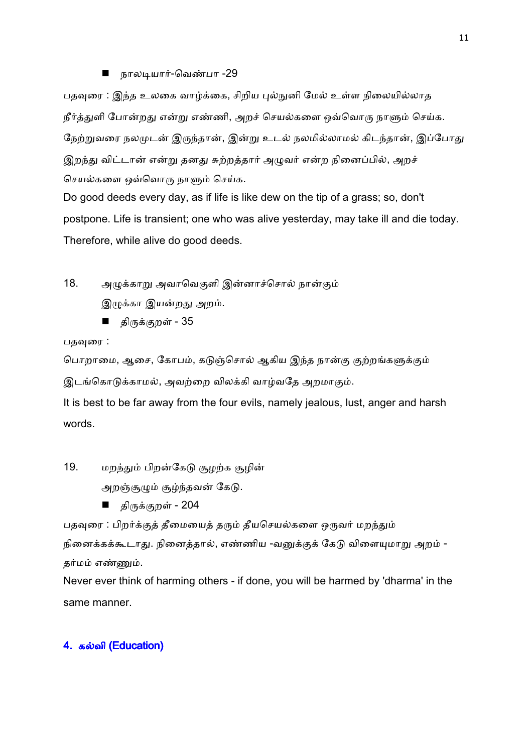# ■ நாலடியார்-வெண்பா -29

பதவுரை : இந்த உலகை வாழ்க்கை, சிறிய புல்நுனி மேல் உள்ள நிலையில்லாத நீர்த்துளி போன்றது என்று எண்ணி, அறச் செயல்களை ஒவ்வொரு நாளும் செய்க. நேற்றுவரை நலமுடன் இருந்தான், இன்று உடல் நலமில்லாமல் கிடந்தான், இப்போது இறந்து விட்டான் என்று தனது சுற்றத்தார் அழுவர் என்ற நினைப்பில், அறச் செயல்களை ஒவ்வொரு நாளும் செய்க.

Do good deeds every day, as if life is like dew on the tip of a grass; so, don't postpone. Life is transient; one who was alive yesterday, may take ill and die today. Therefore, while alive do good deeds.

18. அழுக்காறு அவாவெகுளி இன்னாச்சொல் நான்கும் இழுக்கா இயன்றது அறம்.

■ திருக்குறள் - 35

பதவுரை :

பொறாமை, ஆசை, கோபம், கடுஞ்சொல் ஆகிய இந்த நான்கு குற்றங்களுக்கும்

இடங்கொடுக்காமல், அவற்றை விலக்கி வாழ்வதே அறமாகும்.

It is best to be far away from the four evils, namely jealous, lust, anger and harsh words.

19. மறந்தும் பிறன்கேடு சூழற்க சூழின்

அறஞ்சூழும் சூழ்ந்தவன் கேடு.

■ திருக்குறள் - 204

பதவுரை : பிறர்க்குத் தீமையைத் தரும் தீயசெயல்களை ஒருவர் மறந்தும் நினைக்கக்கூடாது. நினைத்தால், எண்ணிய -வனுக்குக் கேடு விளையுமாறு அறம் -தர்மம் எண்ணும்.

Never ever think of harming others - if done, you will be harmed by 'dharma' in the same manner.

# 4. கல்வி (Education)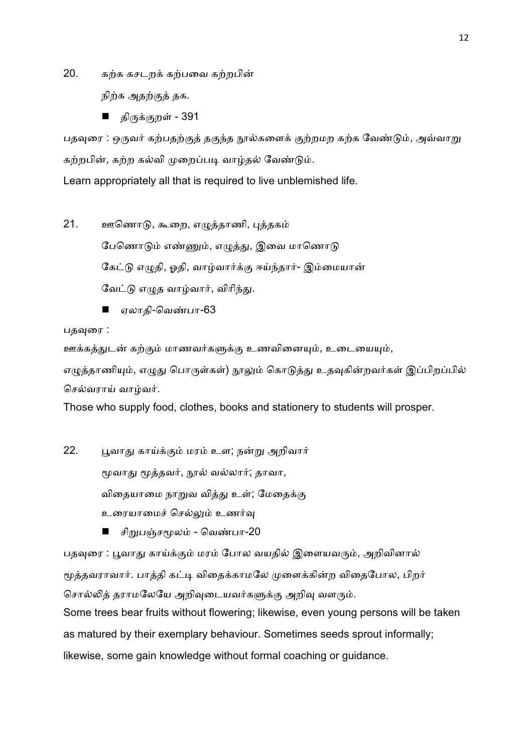20. கற்க கசடறக் கற்பவை கற்றபின்

நிற்க அதற்குத் தக.

■ திருக்குறள் - 391

பதவுரை : ஒருவர் கற்பதற்குத் தகுந்த நூல்களைக் குற்றமற கற்க வேண்டும், அவ்வாறு கற்றபின், கற்ற கல்வி முறைப்படி வாழ்தல் வேண்டும்.

Learn appropriately all that is required to live unblemished life.

- 21. ஊணொடு, கூறை, எழுத்தாணி, புத்தகம் பேணொடும் எண்ணும், எழுத்து, இவை மாணொடு கேட்டு எழுதி, ஓதி, வாழ்வார்க்கு ஈய்ந்தார்- இம்மையான் வேட்டு எமுத வாழ்வார், விரிந்து.
	- ஏலாதி-வெண்பா-63

பதவுரை :

ஊக்கத்துடன் கற்கும் மாணவர்களுக்கு உணவினையும், உடையையும், எமுத்தாணியும், எமுது பொருள்கள்) நூலும் கொடுத்து உதவுகின்றவர்கள் இப்பிறப்பில் செல்வாாய் வாம்வர்.

Those who supply food, clothes, books and stationery to students will prosper.

22. பூவாது காய்க்கும் மரம் உள; நன்று அறிவார் மூவாது மூத்தவர், நூல் வல்லார்; தாவா, விதையாமை நாறுவ வித்து உள்; மேதைக்கு உரையாமைச் செல்லும் உணர்வு

■ சிறுபஞ்சமூலம் - வெண்பா-20

பதவுரை : பூவாது காய்க்கும் மரம் போல வயதில் இளையவரும், அறிவினால் மூத்தவராவார். பாத்தி கட்டி விதைக்காமலே முளைக்கின்ற விகைபோல, பிறர் சொல்லித் தராமலேயே அறிவுடையவர்களுக்கு அறிவு வளரும். Some trees bear fruits without flowering; likewise, even young persons will be taken as matured by their exemplary behaviour. Sometimes seeds sprout informally; likewise, some gain knowledge without formal coaching or guidance.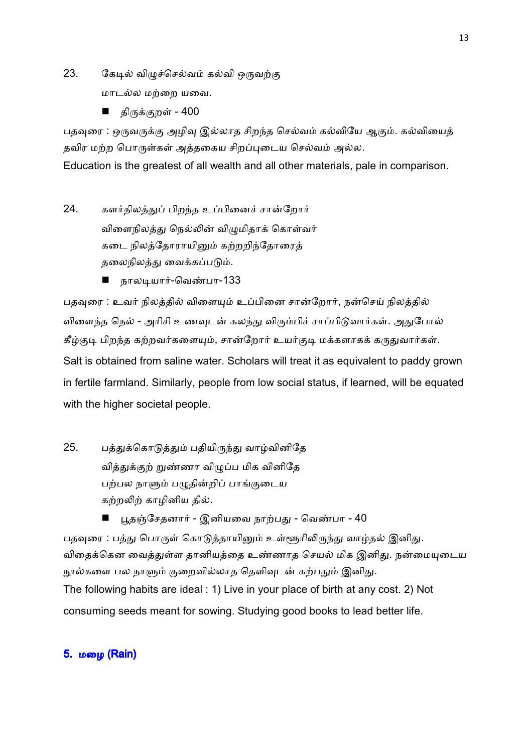23. கேடில் விழுச்செல்வம் கல்வி ஒருவற்கு

மாடல்ல மற்றை யவை.

■ திருக்குறள் - 400

பதவுரை : ஒருவருக்கு அழிவு இல்லாத சிறந்த செல்வம் கல்வியே ஆகும். கல்வியைத் தவிர மற்ற பொருள்கள் அத்தகைய சிறப்புடைய செல்வம் அல்ல.

Education is the greatest of all wealth and all other materials, pale in comparison.

- 24. களர்நிலத்துப் பிறந்த உப்பினைச் சான்றோர் விளைநிலத்து நெல்லின் விழுமிதாக் கொள்வர் கடை நிலத்தோராயினும் கற்றறிந்தோரைத் தலைநிலத்து வைக்கப்படும்.
	- நாலடியார்-வெண்பா-133

பதவுரை : உவர் நிலத்தில் விளையும் உப்பினை சான்றோர், நன்செய் நிலத்தில் விளைந்த நெல் - அரிசி உணவுடன் கலந்து விரும்பிச் சாப்பிடுவார்கள். அதுபோல் கீழ்குடி பிறந்த கற்றவர்களையும், சான்றோர் உயர்குடி மக்களாகக் கருதுவார்கள். Salt is obtained from saline water. Scholars will treat it as equivalent to paddy grown in fertile farmland. Similarly, people from low social status, if learned, will be equated with the higher societal people.

- 25. பத்துக்கொடுத்தும் பதியிருந்து வாழ்வினிதே வித்துக்குற் றுண்ணா விழுப்ப மிக வினிதே பற்பல நாளும் பழுதின்றிப் பாங்குடைய கற்றலிற் காழினிய தில்.
	- பூதஞ்சேதனார் இனியவை நாற்பது வெண்பா 40

பதவுரை : பத்து பொருள் கொடுத்தாயினும் உள்ளூரிலிருந்து வாழ்தல் இனிது. விதைக்கென வைத்துள்ள தானியத்தை உண்ணாத செயல் மிக இனிது. நன்மையுடைய நூல்களை பல நாளும் குறைவில்லாத தெளிவுடன் கற்பதும் இனிது. The following habits are ideal : 1) Live in your place of birth at any cost. 2) Not consuming seeds meant for sowing. Studying good books to lead better life.

# 5. மழை (Rain)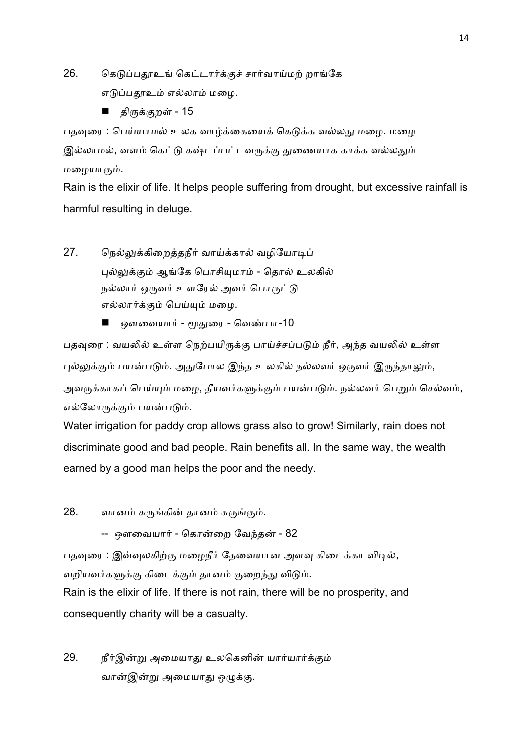26. கெடுப்பதூஉங் கெட்டார்க்குச் சார்வாய்மற் றாங்கே எடுப்பதூஉம் எல்லாம் மழை.

■ திருக்குறள் - 15

பதவுரை : பெய்யாமல் உலக வாழ்க்கையைக் கெடுக்க வல்லது மழை. மழை இல்லாமல், வளம் கெட்டு கஷ்டப்பட்டவருக்கு துணையாக காக்க வல்லதும் மழையாகும்.

Rain is the elixir of life. It helps people suffering from drought, but excessive rainfall is harmful resulting in deluge.

27. நெல்லுக்கிறைத்தநீர் வாய்க்கால் வழியோடிப் புல்லுக்கும் ஆங்கே பொசியுமாம் - தொல் உலகில் நல்லார் ஒருவர் உளரேல் அவர் பொருட்டு எல்லார்க்கும் பெய்யும் மழை.

ஒளவையார் - மூதுரை - வெண்பா-10

பதவுரை : வயலில் உள்ள நெற்பயிருக்கு பாய்ச்சப்படும் நீர், அந்த வயலில் உள்ள புல்லுக்கும் பயன்படும். அதுபோல இந்த உலகில் நல்லவர் ஒருவர் இருந்தாலும், அவருக்காகப் பெய்யும் மழை, தீயவர்களுக்கும் பயன்படும். நல்லவர் பெறும் செல்வம், எல்லோருக்கும் பயன்படும்.

Water irrigation for paddy crop allows grass also to grow! Similarly, rain does not discriminate good and bad people. Rain benefits all. In the same way, the wealth earned by a good man helps the poor and the needy.

28. வானம் சுருங்கின் தானம் சுருங்கும்.

-- ஔவையார் - கொன்றை வேந்தன் - 82

பதவுரை : இவ்வுலகிற்கு மழைநீர் தேவையான அளவு கிடைக்கா விடில், வறியவர்களுக்கு கிடைக்கும் தானம் குறைந்து விடும்.

Rain is the elixir of life. If there is not rain, there will be no prosperity, and consequently charity will be a casualty.

29. நீர்இன்று அமையாது உலகெனின் யார்யார்க்கும் வான்இன்று அமையாது ஒழுக்கு.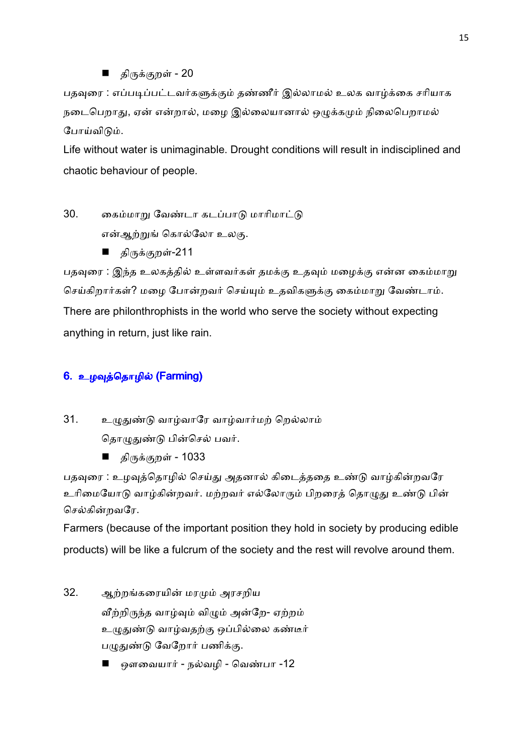■ திருக்குறள் - 20

பதவுரை : எப்படிப்பட்டவர்களுக்கும் தண்ணீர் இல்லாமல் உலக வாழ்க்கை சரியாக நடைபெறாது, ஏன் என்றால், மழை இல்லையானால் ஒழுக்கமும் நிலைபெறாமல் போய்விடும்.

Life without water is unimaginable. Drought conditions will result in indisciplined and chaotic behaviour of people.

30. கைம்மாறு வேண்டா கடப்பாடு மாரிமாட்டு

என்ஆற்றுங் கொல்லோ உலகு.

■ திருக்குறள்-211

பதவுரை : இந்த உலகத்தில் உள்ளவர்கள் தமக்கு உதவும் மழைக்கு என்ன கைம்மாறு செய்கிறார்கள்? மழை போன்றவர் செய்யும் உதவிகளுக்கு கைம்மாறு வேண்டாம். There are philonthrophists in the world who serve the society without expecting anything in return, just like rain.

# 6. உழவுத்தொழில் (Farming)

31. உழுதுண்டு வாழ்வாரே வாழ்வார்மற் றெல்லாம்

தொழுதுண்டு பின்செல் பவர்.

■ திருக்குறள் - 1033

பதவுரை : உழவுத்தொழில் செய்து அதனால் கிடைத்ததை உண்டு வாழ்கின்றவரே உரிமையோடு வாழ்கின்றவர். மற்றவர் எல்லோரும் பிறரைத் தொழுது உண்டு பின் செல்கின்றவரே.

Farmers (because of the important position they hold in society by producing edible products) will be like a fulcrum of the society and the rest will revolve around them.

- 32. ஆற்றங்கரையின் மரமும் அரசறிய வீற்றிருந்த வாழ்வும் விழும் அன்றே- ஏற்றம் உழுதுண்டு வாழ்வதற்கு ஒப்பில்லை கண்டீர் பழுதுண்டு வேறோர் பணிக்கு.
	- ஔவையார் நல்வழி வெண்பா -12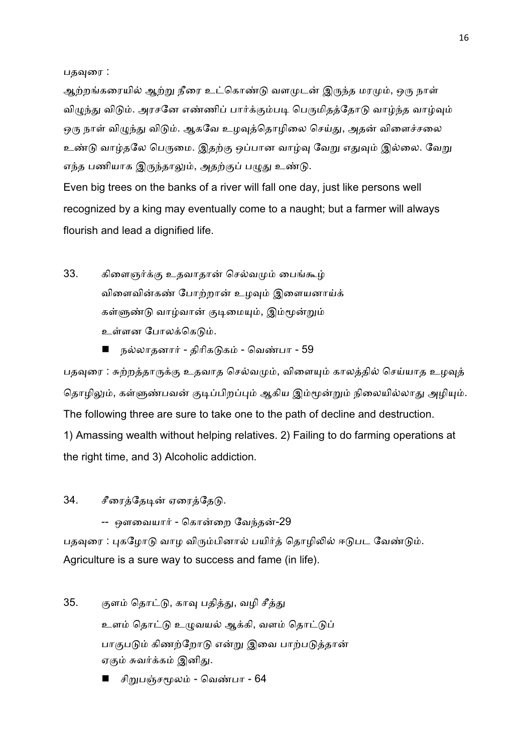பதவுரை :

ஆற்றங்கரையில் ஆற்று நீரை உட்கொண்டு வளமுடன் இருந்த மரமும், ஒரு நாள் விமுந்து விடும். அரசனே எண்ணிப் பார்க்கும்படி பெருமிதத்தோடு வாழ்ந்த வாழ்வும் ஒரு நாள் விழுந்து விடும். ஆகவே உழவுத்தொழிலை செய்து, அதன் விளைச்சலை உண்டு வாழ்தலே பெருமை. இதற்கு ஒப்பான வாழ்வு வேறு எதுவும் இல்லை. வேறு எந்த பணியாக இருந்தாலும், அதற்குப் பழுது உண்டு.

Even big trees on the banks of a river will fall one day, just like persons well recognized by a king may eventually come to a naught; but a farmer will always flourish and lead a dignified life.

- 33. கிளைஞர்க்கு உதவாதான் செல்வமும் பைங்கூழ் விளைவின்கண் போற்றான் உழவும் இளையனாய்க் கள்ளுண்டு வாழ்வான் குடிமையும், இம்மூன்றும் உள்ளன போலக்கெடும்.
	- நல்லாதனார் திரிகடுகம் வெண்பா 59

பதவுரை : சுற்றத்தாருக்கு உதவாத செல்வமும், விளையும் காலத்தில் செய்யாத உழவுத் தொழிலும், கள்ளுண்பவன் குடிப்பிறப்பும் ஆகிய இம்மூன்றும் நிலையில்லாது அழியும். The following three are sure to take one to the path of decline and destruction. 1) Amassing wealth without helping relatives. 2) Failing to do farming operations at the right time, and 3) Alcoholic addiction.

34. சீரைத்தேடின் ஏரைத்தேடு.

-- ஔவையார் - கொன்றை வேந்தன்-29

பதவுரை : புகழோடு வாழ விரும்பினால் பயிர்த் தொழிலில் ஈடுபட வேண்டும். Agriculture is a sure way to success and fame (in life).

- 35. குளம் தொட்டு, காவு பதித்து, வழி சீத்து உளம் தொட்டு உமுவயல் ஆக்கி, வளம் தொட்டுப் பாகுபடும் கிணற்றோடு என்று இவை பாற்படுத்தான் ஏகும் சுவர்க்கம் இனிது.
	- சிறுபஞ்சமூலம் வெண்பா 64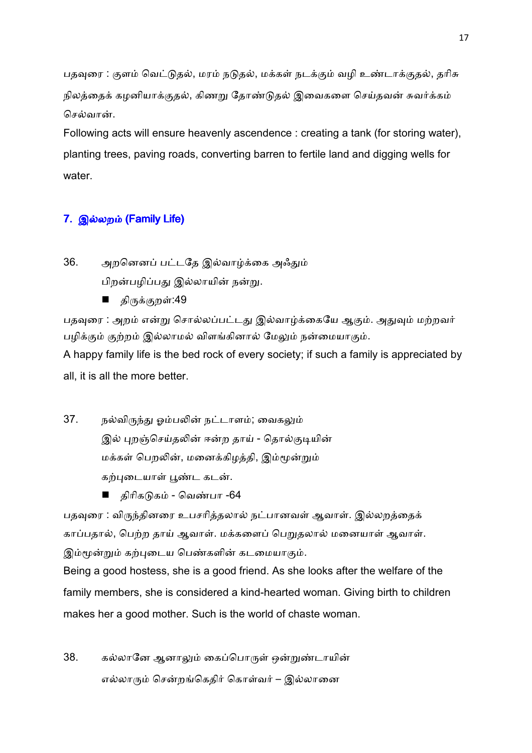பதவுரை : குளம் வெட்டுதல், மரம் நடுதல், மக்கள் நடக்கும் வழி உண்டாக்குதல், தரிசு நிலத்தைக் கழனியாக்குதல், கிணறு தோண்டுதல் இவைகளை செய்தவன் சுவர்க்கம் செல்வான்.

Following acts will ensure heavenly ascendence : creating a tank (for storing water), planting trees, paving roads, converting barren to fertile land and digging wells for water.

# 7. இல்லறம் (Family Life)

36. அறனெனப் பட்டதே இல்வாழ்க்கை அஃதும்

பிறன்பழிப்பது இல்லாயின் நன்று.

■ திருக்குறள்:49

பதவுரை : அறம் என்று சொல்லப்பட்டது இல்வாழ்க்கையே ஆகும். அதுவும் மற்றவர் பழிக்கும் குற்றம் இல்லாமல் விளங்கினால் மேலும் நன்மையாகும்.

A happy family life is the bed rock of every society; if such a family is appreciated by all, it is all the more better.

- 37. நல்விருந்து ஒம்பலின் நட்டாளம்; வைகலும் இல் புறஞ்செய்தலின் ஈன்ற தாய் - தொல்குடியின் மக்கள் பெறலின், மனைக்கிழத்தி, இம்மூன்றும் கற்புடையாள் பூண்ட கடன்.
	- திரிகடுகம் வெண்பா -64

பதவுரை : விருந்தினரை உபசரித்தலால் நட்பானவள் ஆவாள். இல்லறத்தைக் காப்பதால், பெற்ற தாய் ஆவாள். மக்களைப் பெறுதலால் மனையாள் ஆவாள். இம்மூன்றும் கற்புடைய பெண்களின் கடமையாகும்.

Being a good hostess, she is a good friend. As she looks after the welfare of the family members, she is considered a kind-hearted woman. Giving birth to children makes her a good mother. Such is the world of chaste woman.

38. கல்லானே ஆனாலும் கைப்பொருள் ஒன்றுண்டாயின் எல்லாரும் சென்றங்கெதிர் கொள்வர் – இல்லானை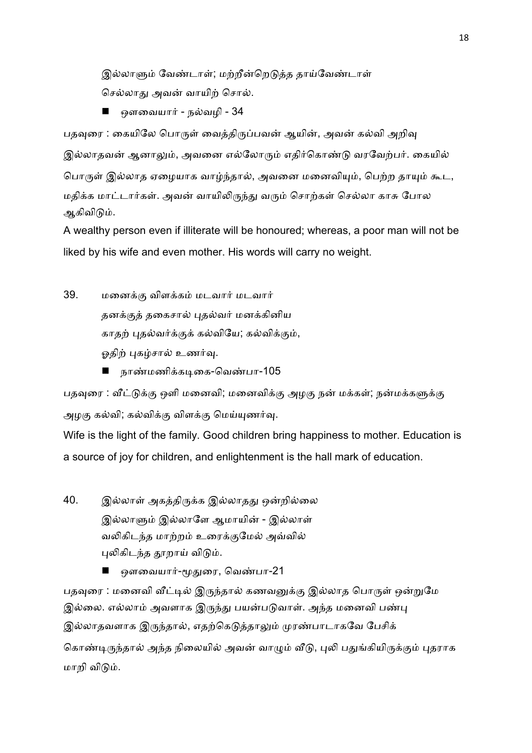இல்லாளும் வேண்டாள்; மற்றீன்றெடுத்த தாய்வேண்டாள் செல்லாது அவன் வாயிற் சொல்.

■ ஔவையார் - நல்வழி -  $34$ 

பதவுரை : கையிலே பொருள் வைத்திருப்பவன் ஆயின், அவன் கல்வி அறிவு இல்லாதவன் ஆனாலும், அவனை எல்லோரும் எதிர்கொண்டு வரவேற்பர். கையில் பொருள் இல்லாத ஏழையாக வாழ்ந்தால், அவனை மனைவியும், பெற்ற தாயும் கூட, மதிக்க மாட்டார்கள். அவன் வாயிலிருந்து வரும் சொற்கள் செல்லா காசு போல ஆகிவிடும்.

A wealthy person even if illiterate will be honoured; whereas, a poor man will not be liked by his wife and even mother. His words will carry no weight.

- 39. மனைக்கு விளக்கம் மடவார் மடவார் தனக்குத் தகைசால் புதல்வர் மனக்கினிய காதற் புதல்வர்க்குக் கல்வியே; கல்விக்கும், ஓதிற் புகழ்சால் உணர்வு.
	- நாண்மணிக்கடிகை-வெண்பா-105

பதவுரை : வீட்டுக்கு ஒளி மனைவி; மனைவிக்கு அழகு நன் மக்கள்; நன்மக்களுக்கு அழகு கல்வி; கல்விக்கு விளக்கு மெய்யுணர்வு.

Wife is the light of the family. Good children bring happiness to mother. Education is a source of joy for children, and enlightenment is the hall mark of education.

40. இல்லாள் அகத்திருக்க இல்லாதது ஒன்றில்லை இல்லாளும் இல்லாளே ஆமாயின் - இல்லாள் வலிகிடந்த மாற்றம் உரைக்குமேல் அவ்வில் புலிகிடந்த தூறாய் விடும்.

■ ஔவையார்-மூதுரை, வெண்பா-21

பதவுரை : மனைவி வீட்டில் இருந்தால் கணவனுக்கு இல்லாத பொருள் ஒன்றுமே இல்லை. எல்லாம் அவளாக இருந்து பயன்படுவாள். அந்த மனைவி பண்பு இல்லாதவளாக இருந்தால், எதற்கெடுத்தாலும் முரண்பாடாகவே பேசிக் கொண்டிருந்தால் அந்த நிலையில் அவன் வாழும் வீடு, புலி பதுங்கியிருக்கும் புதராக மாறி விடும்.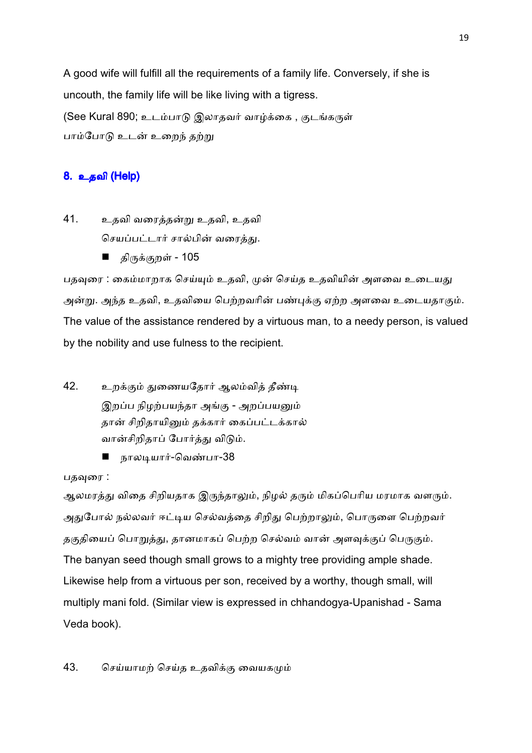A good wife will fulfill all the requirements of a family life. Conversely, if she is uncouth, the family life will be like living with a tigress. (See Kural 890; உடம்பாடு இலாதவர் வாழ்க்கை , குடங்கருள் பாம்போடு உடன் உறைந் தற்று

# 8. உதவி (Help)

- 41. உதவி வரைத்தன்று உதவி, உதவி செயப்பட்டார் சால்பின் வரைத்து.
	- திருக்குறள் 105

பதவுரை : கைம்மாறாக செய்யும் உதவி, முன் செய்த உதவியின் அளவை உடையது அன்று. அந்த உதவி, உதவியை பெற்றவரின் பண்புக்கு ஏற்ற அளவை உடையதாகும். The value of the assistance rendered by a virtuous man, to a needy person, is valued by the nobility and use fulness to the recipient.

- 42. உறக்கும் துணையதோர் ஆலம்வித் தீண்டி இறப்ப நிழற்பயந்தா அங்கு - அறப்பயனும் தான் சிறிதாயினும் தக்கார் கைப்பட்டக்கால் வான்சிறிதாப் போர்த்து விடும்.
	- நாலடியார்-வெண்பா-38

### பதவுரை :

ஆலமரத்து விதை சிறியதாக இருந்தாலும், நிழல் தரும் மிகப்பெரிய மரமாக வளரும். அதுபோல் நல்லவர் ஈட்டிய செல்வத்தை சிறிது பெற்றாலும், பொருளை பெற்றவர் தகுதியைப் பொறுத்து, தானமாகப் பெற்ற செல்வம் வான் அளவுக்குப் பெருகும். The banyan seed though small grows to a mighty tree providing ample shade. Likewise help from a virtuous per son, received by a worthy, though small, will multiply mani fold. (Similar view is expressed in chhandogya-Upanishad - Sama Veda book).

43. செய்யாமற் செய்த உதவிக்கு வையகமும்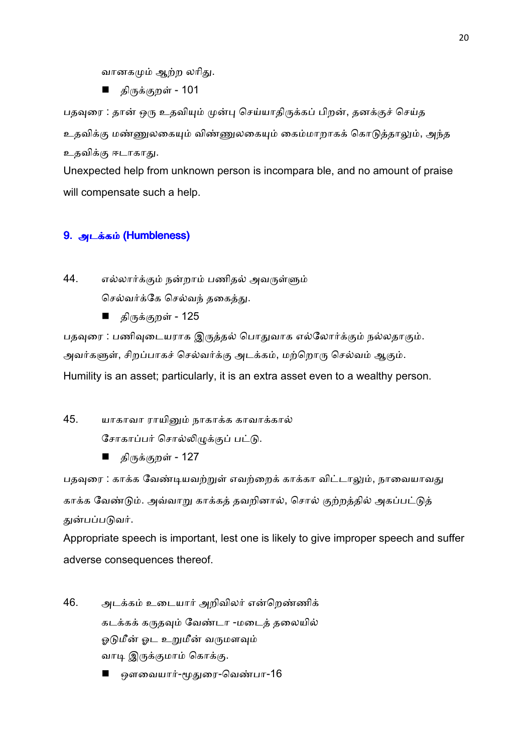வானகமும் ஆற்ற லரிது.

■ திருக்குறள் - 101

பதவுரை : தான் ஒரு உதவியும் முன்பு செய்யாதிருக்கப் பிறன், தனக்குச் செய்த உதவிக்கு மண்ணுலகையும் விண்ணுலகையும் கைம்மாறாகக் கொடுத்தாலும், அந்த உதவிக்கு ஈடாகாது.

Unexpected help from unknown person is incompara ble, and no amount of praise will compensate such a help.

# 9. அடக்கம் (Humbleness)

44. எல்லார்க்கும் நன்றாம் பணிதல் அவருள்ளும் செல்வர்க்கே செல்வந் தகைத்து.

திருக்குறள் - 125

பதவுரை : பணிவுடையராக இருத்தல் பொதுவாக எல்லோர்க்கும் நல்லதாகும். அவர்களுள், சிறப்பாகச் செல்வர்க்கு அடக்கம், மற்றொரு செல்வம் ஆகும். Humility is an asset; particularly, it is an extra asset even to a wealthy person.

45. யாகாவா ராயினும் நாகாக்க காவாக்கால்

சோகாப்பர் சொல்லிழுக்குப் பட்டு.

திருக்குறள் - 127

பதவுரை : காக்க வேண்டியவற்றுள் எவற்றைக் காக்கா விட்டாலும், நாவையாவது காக்க வேண்டும். அவ்வாறு காக்கத் தவறினால், சொல் குற்றத்தில் அகப்பட்டுத் துன்பப்படுவர்.

Appropriate speech is important, lest one is likely to give improper speech and suffer adverse consequences thereof.

- 46. அடக்கம் உடையார் அறிவிலர் என்றெண்ணிக் கடக்கக் கருதவும் வேண்டா -மடைத் தலையில் ஓடுமீன் ஓட உறுமீன் வருமளவும் வாடி இருக்குமாம் கொக்கு.
	- ஔவையார்-மூதுரை-வெண்பா-16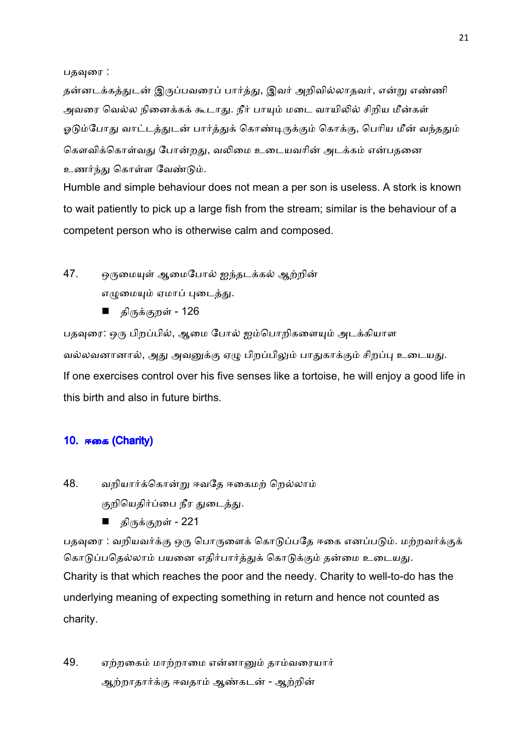பதவுரை :

தன்னடக்கத்துடன் இருப்பவரைப் பார்த்து, இவர் அறிவில்லாதவர், என்று எண்ணி அவரை வெல்ல நினைக்கக் கூடாது. நீர் பாயும் மடை வாயிலில் சிறிய மீன்கள் ஓடும்போது வாட்டத்துடன் பார்த்துக் கொண்டிருக்கும் கொக்கு, பெரிய மீன் வந்ததும் கௌவிக்கொள்வது போன்றது, வலிமை உடையவரின் அடக்கம் என்பதனை உணர்ந்து கொள்ள வேண்டும்.

Humble and simple behaviour does not mean a per son is useless. A stork is known to wait patiently to pick up a large fish from the stream; similar is the behaviour of a competent person who is otherwise calm and composed.

- 47. ஒருமையுள் ஆமைபோல் ஐந்தடக்கல் ஆற்றின் எழுமையும் ஏமாப் புடைத்து.
	- திருக்குறள் 126

பதவுரை: ஒரு பிறப்பில், ஆமை போல் ஐம்பொறிகளையும் அடக்கியாள வல்லவனானால், அது அவனுக்கு ஏழு பிறப்பிலும் பாதுகாக்கும் சிறப்பு உடையது. If one exercises control over his five senses like a tortoise, he will enjoy a good life in this birth and also in future births.

### 10. ஈகை (Charity)

- 48. வறியார்க்கொன்று ஈவதே ஈகைமற் றெல்லாம் குறியெதிர்ப்பை நீர துடைத்து.
	- திருக்குறள் 221

பதவுரை : வறியவர்க்கு ஒரு பொருளைக் கொடுப்பதே ஈகை எனப்படும். மற்றவர்க்குக் கொடுப்பதெல்லாம் பயனை எதிர்பார்த்துக் கொடுக்கும் தன்மை உடையது. Charity is that which reaches the poor and the needy. Charity to well-to-do has the underlying meaning of expecting something in return and hence not counted as charity.

49. ஏற்றகைம் மாற்றாமை என்னானும் தாம்வரையார் ஆற்றாதார்க்கு ஈவதாம் ஆண்கடன் - ஆற்றின்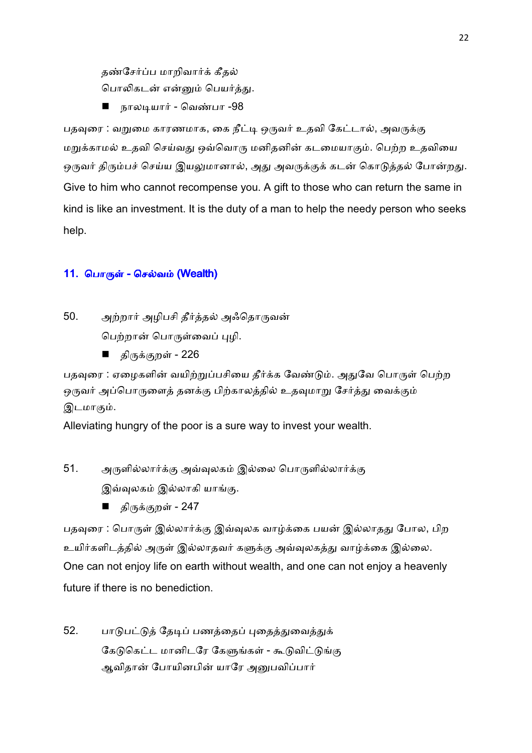தண்சேர்ப்ப மாறிவார்க் கீதல் பொலிகடன் என்னும் பெயர்த்து.

■ நாலடியார் - வெண்பா -98

பதவுரை : வறுமை காரணமாக, கை நீட்டி ஒருவர் உதவி கேட்டால், அவருக்கு மறுக்காமல் உதவி செய்வது ஒவ்வொரு மனிதனின் கடமையாகும். பெற்ற உதவியை ஒருவர் திரும்பச் செய்ய இயலுமானால், அது அவருக்குக் கடன் கொடுத்தல் போன்றது. Give to him who cannot recompense you. A gift to those who can return the same in kind is like an investment. It is the duty of a man to help the needy person who seeks help.

# 11. பொருள் - செல்வம் (Wealth)

50. அற்றார் அழிபசி தீர்த்தல் அஃதொருவன் பெற்றான் பொருள்வைப் புமி.

திருக்குறள் - 226

பதவுரை : ஏழைகளின் வயிற்றுப்பசியை தீர்க்க வேண்டும். அதுவே பொருள் பெற்ற ஒருவர் அப்பொருளைத் தனக்கு பிற்காலத்தில் உதவுமாறு சேர்த்து வைக்கும் இடமாகும்.

Alleviating hungry of the poor is a sure way to invest your wealth.

51. அருளில்லார்க்கு அவ்வுலகம் இல்லை பொருளில்லார்க்கு இவ்வுலகம் இல்லாகி யாங்கு.

திருக்குறள் - 247

பதவுரை : பொருள் இல்லார்க்கு இவ்வுலக வாழ்க்கை பயன் இல்லாதது போல, பிற உயிர்களிடத்தில் அருள் இல்லாதவர் களுக்கு அவ்வுலகத்து வாழ்க்கை இல்லை. One can not enjoy life on earth without wealth, and one can not enjoy a heavenly future if there is no benediction.

52. பாடுபட்டுத் தேடிப் பணத்தைப் புதைத்துவைத்துக் கேடுகெட்ட மானிடரே கேளுங்கள் - கூடுவிட்டுங்கு ஆவிதான் போயினபின் யாரே அனுபவிப்பார்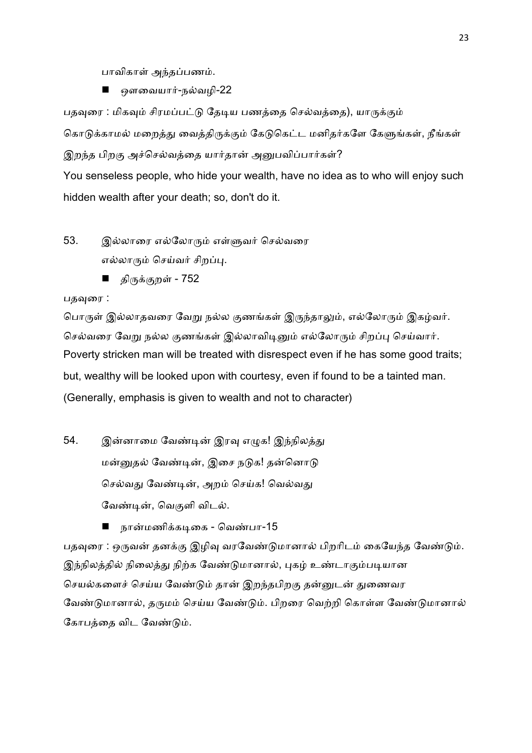பாவிகாள் அந்தப்பணம்.

ஒளவையார்-நல்வழி-22

பதவுரை : மிகவும் சிரமப்பட்டு தேடிய பணத்தை செல்வத்தை), யாருக்கும்

கொடுக்காமல் மறைத்து வைத்திருக்கும் கேடுகெட்ட மனிதர்களே கேளுங்கள், நீங்கள் இறந்த பிறகு அச்செல்வத்தை யார்தான் அனுபவிப்பார்கள்?

You senseless people, who hide your wealth, have no idea as to who will enjoy such hidden wealth after your death; so, don't do it.

- 53. இல்லாரை எல்லோரும் எள்ளுவர் செல்வரை எல்லாரும் செய்வர் சிறப்பு.
	- திருக்குறள் 752

### பதவுரை :

பொருள் இல்லாதவரை வேறு நல்ல குணங்கள் இருந்தாலும், எல்லோரும் இகழ்வர். செல்வரை வேறு நல்ல குணங்கள் இல்லாவிடினும் எல்லோரும் சிறப்பு செய்வார். Poverty stricken man will be treated with disrespect even if he has some good traits; but, wealthy will be looked upon with courtesy, even if found to be a tainted man. (Generally, emphasis is given to wealth and not to character)

54. இன்னாமை வேண்டின் இரவு எழுக! இந்நிலத்து மன்னுதல் வேண்டின், இசை நடுக! தன்னொடு செல்வது வேண்டின், அறம் செய்க! வெல்வது வேண்டின், வெகுளி விடல்.

நான்மணிக்கடிகை - வெண்பா-15

பதவுரை : ஒருவன் தனக்கு இழிவு வரவேண்டுமானால் பிறரிடம் கையேந்த வேண்டும். இந்நிலத்தில் நிலைத்து நிற்க வேண்டுமானால், புகழ் உண்டாகும்படியான செயல்களைச் செய்ய வேண்டும் தான் இறந்தபிறகு தன்னுடன் துணைவர வேண்டுமானால், தருமம் செய்ய வேண்டும். பிறரை வெற்றி கொள்ள வேண்டுமானால் கோபத்தை விட வேண்டும்.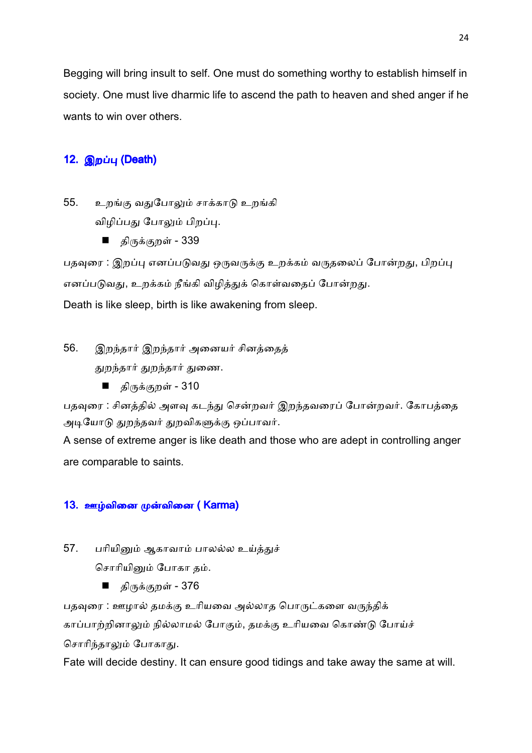Begging will bring insult to self. One must do something worthy to establish himself in society. One must live dharmic life to ascend the path to heaven and shed anger if he wants to win over others.

# 12. இறப்பு (Death)

55. உறங்கு வதுபோலும் சாக்காடு உறங்கி விழிப்பது போலும் பிறப்பு.

■ திருக்குறள் - 339

பதவுரை : இறப்பு எனப்படுவது ஒருவருக்கு உறக்கம் வருதலைப் போன்றது, பிறப்பு எனப்படுவது, உறக்கம் நீங்கி விழித்துக் கொள்வதைப் போன்றது.

Death is like sleep, birth is like awakening from sleep.

56. இறந்தார் இறந்தார் அனையர் சினத்தைத் துறந்தார் துறந்தார் துணை.

■ திருக்குறள் - 310

பதவுரை : சினத்தில் அளவு கடந்து சென்றவர் இறந்தவரைப் போன்றவர். கோபத்தை அடியோடு துறந்தவர் துறவிகளுக்கு ஒப்பாவர்.

A sense of extreme anger is like death and those who are adept in controlling anger are comparable to saints.

# 13. ஊழ்வினை முன்வினை ( Karma)

57. பரியினும் ஆகாவாம் பாலல்ல உய்த்துச்

சொரியினும் போகா தம்.

■ திருக்குறள் - 376

பதவுரை : ஊழால் தமக்கு உரியவை அல்லாத பொருட்களை வருந்திக் காப்பாற்றினாலும் நில்லாமல் போகும், தமக்கு உரியவை கொண்டு போய்ச் சொரிந்தாலும் போகாது.

Fate will decide destiny. It can ensure good tidings and take away the same at will.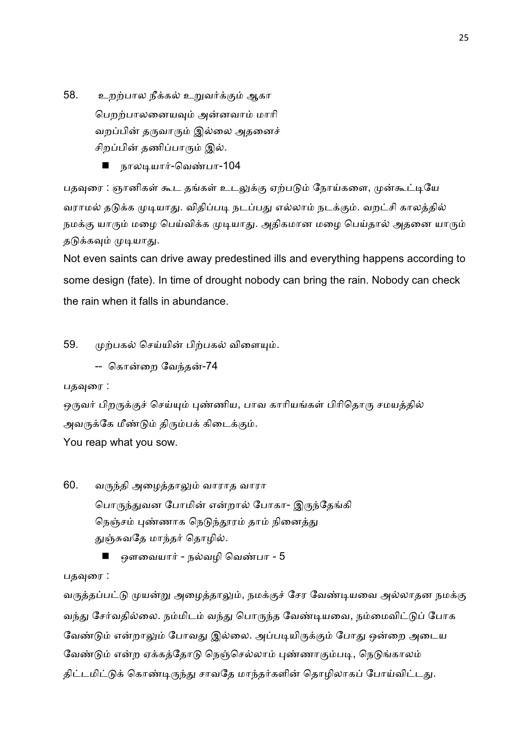- 58. உறற்பால நீக்கல் உறுவர்க்கும் ஆகா பெறற்பாலனையவும் அன்னவாம் மாரி வறப்பின் தருவாரும் இல்லை அதனைச் சிறப்பின் தணிப்பாரும் இல்.
	- நாலடியார்-வெண்பா-104

பதவுரை : ஞானிகள் கூட தங்கள் உடலுக்கு ஏற்படும் நோய்களை, முன்கூட்டியே வராமல் தடுக்க முடியாது. விதிப்படி நடப்பது எல்லாம் நடக்கும். வறட்சி காலத்தில் நமக்கு யாரும் மழை பெய்விக்க முடியாது. அதிகமான மழை பெய்தால் அதனை யாரும் தடுக்கவும் முடியாது.

Not even saints can drive away predestined ills and everything happens according to some design (fate). In time of drought nobody can bring the rain. Nobody can check the rain when it falls in abundance.

### 59. முற்பகல் செய்யின் பிற்பகல் விளையும்.

-- கொன்றை வேந்தன்-74

பதவுரை :

ஒருவர் பிறருக்குச் செய்யும் புண்ணிய, பாவ காரியங்கள் பிரிதொரு சமயத்தில் அவருக்கே மீண்டும் திரும்பக் கிடைக்கும். You reap what you sow.

- 60. வருந்தி அழைத்தாலும் வாராத வாரா பொருந்துவன போமின் என்றால் போகா- இருந்தேங்கி நெஞ்சம் புண்ணாக நெடுந்தூரம் தாம் நினைத்து துஞ்சுவதே மாந்தர் தொழில்.
	- ஒளவையார் நல்வழி வெண்பா 5

பதவுரை :

வருத்தப்பட்டு முயன்று அழைத்தாலும், நமக்குச் சேர வேண்டியவை அல்லாதன நமக்கு வந்து சேர்வதில்லை. நம்மிடம் வந்து பொருந்த வேண்டியவை, நம்மைவிட்டுப் போக வேண்டும் என்றாலும் போவது இல்லை. அப்படியிருக்கும் போது ஒன்றை அடைய வேண்டும் என்ற ஏக்கத்தோடு நெஞ்செல்லாம் புண்ணாகும்படி, நெடுங்காலம் திட்டமிட்டுக் கொண்டிருந்து சாவதே மாந்தர்களின் தொழிலாகப் போய்விட்டது.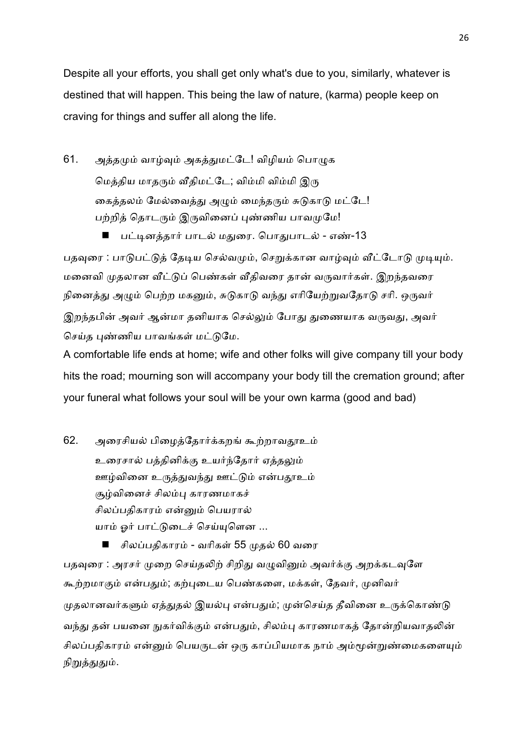Despite all your efforts, you shall get only what's due to you, similarly, whatever is destined that will happen. This being the law of nature, (karma) people keep on craving for things and suffer all along the life.

61. அத்தமும் வாழ்வும் அகத்துமட்டே! விழியம் பொழுக மெத்திய மாதரும் வீதிமட்டே; விம்மி விம்மி இரு கைத்தலம் மேல்வைத்து அழும் மைந்தரும் சுடுகாடு மட்டே! பற்றித் தொடரும் இருவினைப் புண்ணிய பாவமுமே!

பட்டினத்தார் பாடல் மதுரை. பொதுபாடல் - எண்-13

பதவுரை : பாடுபட்டுத் தேடிய செல்வமும், செறுக்கான வாழ்வும் வீட்டோடு முடியும். மனைவி முதலான வீட்டுப் பெண்கள் வீதிவரை தான் வருவார்கள். இறந்தவரை நினைத்து அழும் பெற்ற மகனும், சுடுகாடு வந்து எரியேற்றுவதோடு சரி. ஒருவர் இறந்தபின் அவர் ஆன்மா தனியாக செல்லும் போது துணையாக வருவது, அவர் செய்த புண்ணிய பாவங்கள் மட்டுமே.

A comfortable life ends at home; wife and other folks will give company till your body hits the road; mourning son will accompany your body till the cremation ground; after your funeral what follows your soul will be your own karma (good and bad)

62. அரைசியல் பிழைத்தோர்க்கறங் கூற்றாவதூஉம் உரைசால் பத்தினிக்கு உயர்ந்தோர் ஏத்தலும் ஊழ்வினை உருத்துவந்து ஊட்டும் என்பதூஉம் சூழ்வினைச் சிலம்பு காரணமாகச் சிலப்பதிகாரம் என்னும் பெயரால் யாம் ஓர் பாட்டுடைச் செய்யுளென ...

சிலப்பதிகாரம் - வரிகள் 55 முதல் 60 வரை பதவுரை : அரசர் முறை செய்தலிற் சிறிது வழுவினும் அவர்க்கு அறக்கடவுளே கூற்றமாகும் என்பதும்; கற்புடைய பெண்களை, மக்கள், தேவர், முனிவர் முதலானவர்களும் ஏத்துதல் இயல்பு என்பதும்; முன்செய்த தீவினை உருக்கொண்டு வந்து தன் பயனை நுகர்விக்கும் என்பதும், சிலம்பு காரணமாகத் தோன்றியவாதலின் சிலப்பதிகாரம் என்னும் பெயருடன் ஒரு காப்பியமாக நாம் அம்மூன்றுண்மைகளையும் நிறுத்துதும்.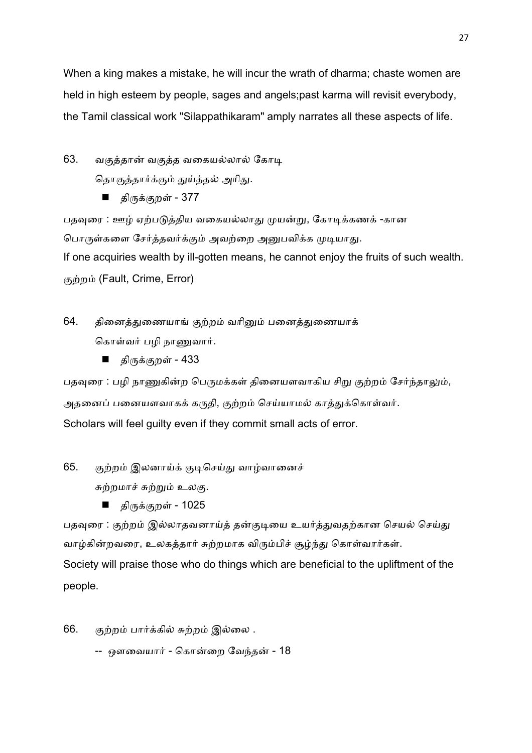When a king makes a mistake, he will incur the wrath of dharma; chaste women are held in high esteem by people, sages and angels;past karma will revisit everybody, the Tamil classical work "Silappathikaram" amply narrates all these aspects of life.

63. வகுத்தான் வகுத்த வகையல்லால் கோடி தொகுத்தார்க்கும் துய்த்தல் அரிது.

■ திருக்குறள் - 377

பதவுரை : ஊழ் ஏற்படுத்திய வகையல்லாது முயன்று, கோடிக்கணக் -கான பொருள்களை சேர்த்தவர்க்கும் அவற்றை அனுபவிக்க முடியாது. If one acquiries wealth by ill-gotten means, he cannot enjoy the fruits of such wealth. குற்றம் (Fault, Crime, Error)

64. தினைத்துணையாங் குற்றம் வரினும் பனைத்துணையாக் கொள்வர் பழி நாணுவார்.

■ திருக்குறள் - 433

பதவுரை : பழி நாணுகின்ற பெருமக்கள் தினையளவாகிய சிறு குற்றம் சேர்ந்தாலும், அதனைப் பனையளவாகக் கருதி, குற்றம் செய்யாமல் காத்துக்கொள்வர். Scholars will feel guilty even if they commit small acts of error.

65. குற்றம் இலனாய்க் குடிசெய்து வாழ்வானைச்

சுற்றமாச் சுற்றும் உலகு.

■ திருக்குறள் - 1025

பதவுரை : குற்றம் இல்லாதவனாய்த் தன்குடியை உயர்த்துவதற்கான செயல் செய்து வாழ்கின்றவரை, உலகத்தார் சுற்றமாக விரும்பிச் சூழ்ந்து கொள்வார்கள். Society will praise those who do things which are beneficial to the upliftment of the people.

- 66. குற்றம் பார்க்கில் சுற்றம் இல்லை .
	- -- ஔவையார் கொன்றை வேந்தன் 18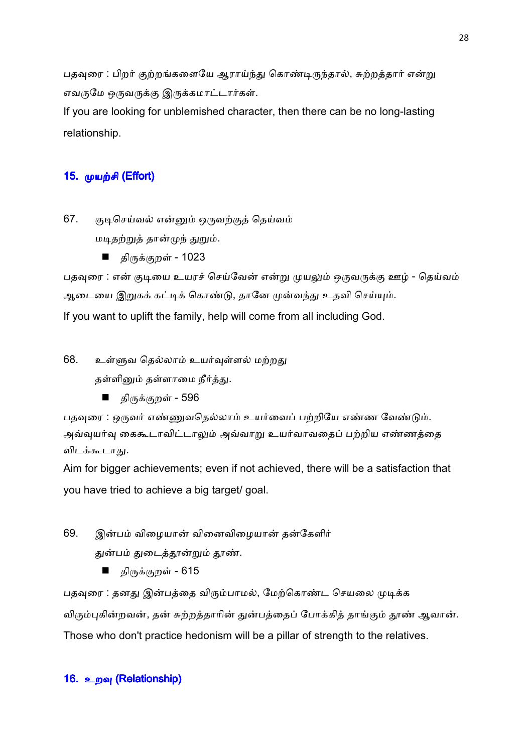பதவுரை : பிறர் குற்றங்களையே ஆராய்ந்து கொண்டிருந்தால், சுற்றத்தார் என்று எவருமே ஒருவருக்கு இருக்கமாட்டார்கள்.

If you are looking for unblemished character, then there can be no long-lasting relationship.

# 15. முயற்சி (Effort)

67. குடிசெய்வல் என்னும் ஒருவற்குத் தெய்வம் மடிதற்றுத் தான்முந் துறும்.

■ திருக்குறள் - 1023

பதவுரை : என் குடியை உயரச் செய்வேன் என்று முயலும் ஒருவருக்கு ஊழ் - தெய்வம் ஆடையை இறுகக் கட்டிக் கொண்டு, தானே முன்வந்து உதவி செய்யும். If you want to uplift the family, help will come from all including God.

68. உள்ளுவ தெல்லாம் உயர்வுள்ளல் மற்றது தள்ளினும் தள்ளாமை நீர்த்து.

■ திருக்குறள் - 596

பதவுரை : ஒருவர் எண்ணுவதெல்லாம் உயர்வைப் பற்றியே எண்ண வேண்டும். அவ்வுயர்வு கைகூடாவிட்டாலும் அவ்வாறு உயர்வாவதைப் பற்றிய எண்ணத்தை விடக்கூடாது.

Aim for bigger achievements; even if not achieved, there will be a satisfaction that you have tried to achieve a big target/ goal.

- 69. இன்பம் விழையான் வினைவிழையான் தன்கேளிர் துன்பம் துடைத்தூன்றும் தூண்.
	- திருக்குறள் 615

பதவுரை : தனது இன்பத்தை விரும்பாமல், மேற்கொண்ட செயலை முடிக்க விரும்புகின்றவன், தன் சுற்றத்தாரின் துன்பத்தைப் போக்கித் தாங்கும் தூண் ஆவான். Those who don't practice hedonism will be a pillar of strength to the relatives.

## 16. உறவு (Relationship)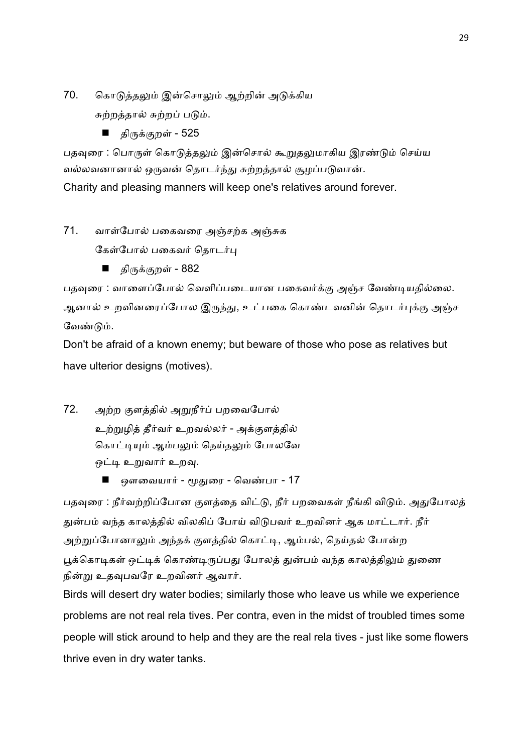- 70. கொடுத்தலும் இன்சொலும் ஆற்றின் அடுக்கிய சுற்றத்தால் சுற்றப் படும்.
	- திருக்குறள் 525

பதவுரை : பொருள் கொடுத்தலும் இன்சொல் கூறுதலுமாகிய இரண்டும் செய்ய வல்லவனானால் ஒருவன் தொடர்ந்து சுற்றத்தால் சூழப்படுவான். Charity and pleasing manners will keep one's relatives around forever.

71. வாள்போல் பகைவரை அஞ்சற்க அஞ்சுக

கேள்போல் பகைவர் தொடர்பு

■ திருக்குறள் - 882

பதவுரை : வாளைப்போல் வெளிப்படையான பகைவர்க்கு அஞ்ச வேண்டியதில்லை. ஆனால் உறவினரைப்போல இருந்து, உட்பகை கொண்டவனின் தொடர்புக்கு அஞ்ச வேண்டும்.

Don't be afraid of a known enemy; but beware of those who pose as relatives but have ulterior designs (motives).

- 72. அற்ற குளத்தில் அறுநீர்ப் பறவைபோல் உற்றுழித் தீர்வர் உறவல்லர் - அக்குளத்தில் கொட்டியும் ஆம்பலும் நெய்தலும் போலவே ஒட்டி உறுவார் உறவு.
	- ஔவையார் மூதுரை வெண்பா 17

பதவுரை : நீர்வற்றிப்போன குளத்தை விட்டு, நீர் பறவைகள் நீங்கி விடும். அதுபோலத் துன்பம் வந்த காலத்தில் விலகிப் போய் விடுபவர் உறவினர் ஆக மாட்டார். நீர் அற்றுப்போனாலும் அந்தக் குளத்தில் கொட்டி, ஆம்பல், நெய்தல் போன்ற பூக்கொடிகள் ஒட்டிக் கொண்டிருப்பது போலத் துன்பம் வந்த காலத்திலும் துணை நின்று உதவுபவரே உறவினர் ஆவார்.

Birds will desert dry water bodies; similarly those who leave us while we experience problems are not real rela tives. Per contra, even in the midst of troubled times some people will stick around to help and they are the real rela tives - just like some flowers thrive even in dry water tanks.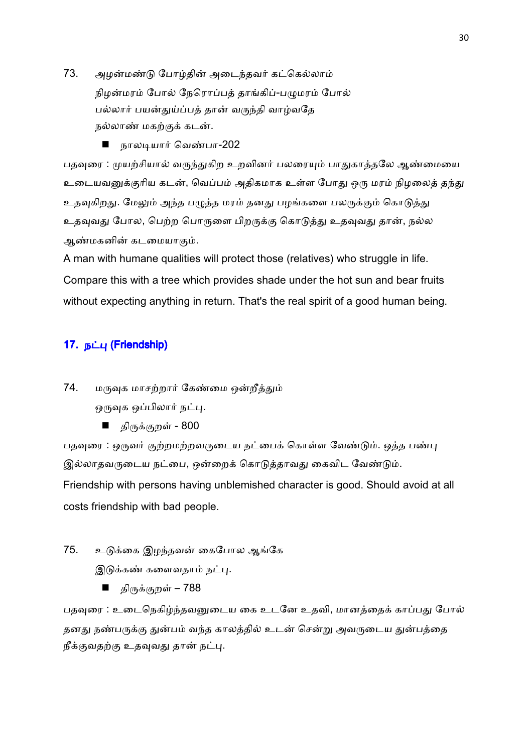- 73. அழன்மண்டு போழ்தின் அடைந்தவர் கட்கெல்லாம் நிழன்மரம் போல் நேரொப்பத் தாங்கிப்-பழுமரம் போல் பல்லார் பயன்துய்ப்பக் கான் வருந்தி வாழ்வதே நல்லாண் மகற்குக் கடன்.
	- நாலடியார் வெண்பா-202

பதவுரை : முயற்சியால் வருந்துகிற உறவினர் பலரையும் பாதுகாத்தலே ஆண்மையை உடையவனுக்குரிய கடன், வெப்பம் அதிகமாக உள்ள போது ஒரு மரம் நிழலைத் தந்து உதவுகிறது. மேலும் அந்த பழுத்த மரம் தனது பழங்களை பலருக்கும் கொடுத்து உதவுவது போல, பெற்ற பொருளை பிறருக்கு கொடுத்து உதவுவது தான், நல்ல அண்மகனின் கடமையாகும்.

A man with humane qualities will protect those (relatives) who struggle in life. Compare this with a tree which provides shade under the hot sun and bear fruits without expecting anything in return. That's the real spirit of a good human being.

# 17. நட்பு (Friendship)

74. மருவுக மாசற்றார் கேண்மை ஒன்றீத்தும்

ஒருவுக ஒப்பிலார் நட்பு.

■ திருக்குறள் - 800

பதவுரை : ஒருவர் குற்றமற்றவருடைய நட்பைக் கொள்ள வேண்டும். ஒத்த பண்பு இல்லாதவருடைய நட்பை, ஒன்றைக் கொடுத்தாவது கைவிட வேண்டும். Friendship with persons having unblemished character is good. Should avoid at all costs friendship with bad people.

75. உடுக்கை இழந்தவன் கைபோல ஆங்கே

இடுக்கண் களைவதாம் நட்பு.

■ திருக்குறள் – 788

பதவுரை : உடைநெகிழ்ந்தவனுடைய கை உடனே உதவி, மானத்தைக் காப்பது போல் தனது நண்பருக்கு துன்பம் வந்த காலத்தில் உடன் சென்று அவருடைய துன்பத்தை நீக்குவதற்கு உதவுவது தான் நட்பு.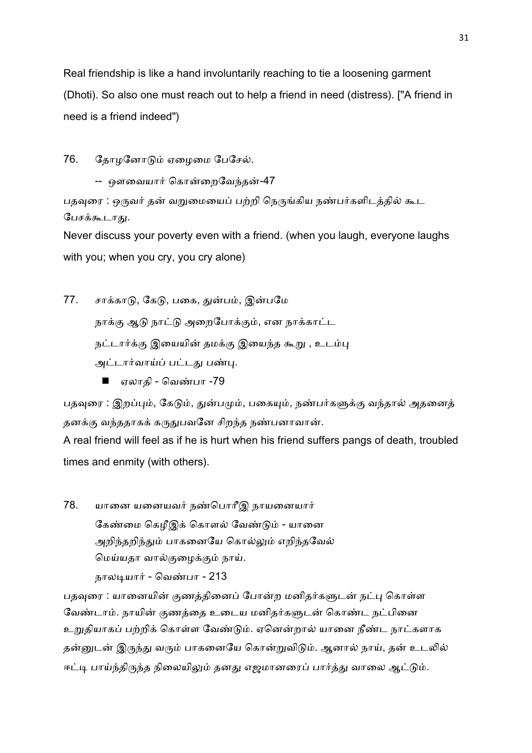Real friendship is like a hand involuntarily reaching to tie a loosening garment (Dhoti). So also one must reach out to help a friend in need (distress). ["A friend in need is a friend indeed")

76. தோழனோடும் ஏழைமை பேசேல்.

-- ஔவையார் கொன்றைவேந்தன்-47

பதவுரை : ஒருவர் தன் வறுமையைப் பற்றி நெருங்கிய நண்பர்களிடத்தில் கூட பேசக்கூடாது.

Never discuss your poverty even with a friend. (when you laugh, everyone laughs with you; when you cry, you cry alone)

77. சாக்காடு, கேடு, பகை, துன்பம், இன்பமே

நாக்கு ஆடு நாட்டு அறைபோக்கும், என நாக்காட்ட

நட்டார்க்கு இயையின் தமக்கு இயைந்த கூறு , உடம்பு

அட்டார்வாய்ப் பட்டது பண்பு.

■ ஏலாதி - வெண்பா -79

பதவுரை : இறப்பும், கேடும், துன்பமும், பகையும், நண்பர்களுக்கு வந்தால் அதனைத் தனக்கு வந்ததாகக் கருதுபவனே சிறந்த நண்பனாவான்.

A real friend will feel as if he is hurt when his friend suffers pangs of death, troubled times and enmity (with others).

78. யானை யனையவர் நண்பொரீஇ நாயனையார் கேண்மை கெமீஇக் கொளல் வேண்டும் - யானை அறிந்தறிந்தும் பாகனையே கொல்லும் எறிந்தவேல் மெய்யதா வால்குழைக்கும் நாய். நாலடியார் - வெண்பா - 213

பதவுரை : யானையின் குணத்தினைப் போன்ற மனிதர்களுடன் நட்பு கொள்ள வேண்டாம். நாயின் குணத்தை உடைய மனிதர்களுடன் கொண்ட நட்பினை உறுதியாகப் பற்றிக் கொள்ள வேண்டும். ஏனென்றால் யானை நீண்ட நாட்களாக தன்னுடன் இருந்து வரும் பாகனையே கொன்றுவிடும். ஆனால் நாய், தன் உடலில் ஈட்டி பாய்ந்திருந்த நிலையிலும் தனது எஜமானரைப் பார்த்து வாலை ஆட்டும்.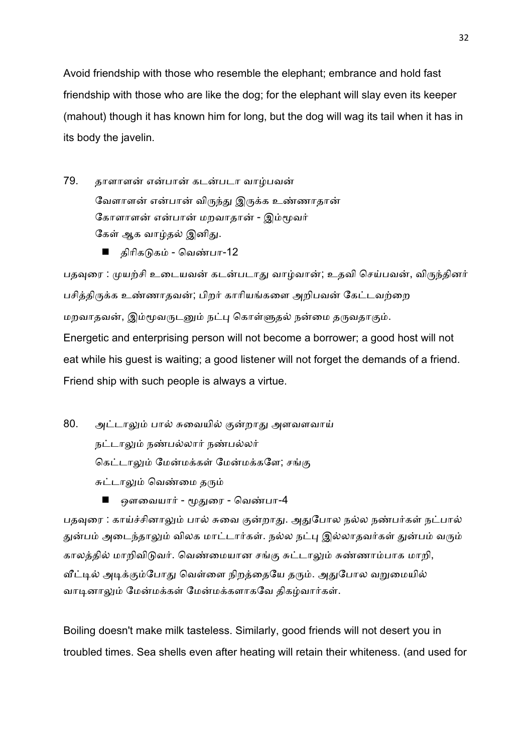Avoid friendship with those who resemble the elephant; embrance and hold fast friendship with those who are like the dog; for the elephant will slay even its keeper (mahout) though it has known him for long, but the dog will wag its tail when it has in its body the javelin.

- 79. தாளாளன் என்பான் கடன்படா வாழ்பவன் வேளாளன் என்பான் விருந்து இருக்க உண்ணாதான் கோளாளன் என்பான் மறவாதான் - இம்மூவர் கேள் ஆக வாழ்தல் இனிது.
	- திரிகடுகம் வெண்பா-12

பதவுரை : முயற்சி உடையவன் கடன்படாது வாழ்வான்; உதவி செய்பவன், விருந்தினர் பசித்திருக்க உண்ணாதவன்; பிறர் காரியங்களை அறிபவன் கேட்டவற்றை மறவாதவன், இம்மூவருடனும் நட்பு கொள்ளுதல் நன்மை தருவதாகும். Energetic and enterprising person will not become a borrower; a good host will not eat while his guest is waiting; a good listener will not forget the demands of a friend. Friend ship with such people is always a virtue.

- 80. அட்டாலும் பால் சுவையில் குன்றாது அளவளவாய் நட்டாலும் நண்பல்லார் நண்பல்லர் கெட்டாலும் மேன்மக்கள் மேன்மக்களே; சங்கு சுட்டாலும் வெண்மை தரும்
	- ஔவையார் மூதுரை வெண்பா-4

பதவுரை : காய்ச்சினாலும் பால் சுவை குன்றாது. அதுபோல நல்ல நண்பர்கள் நட்பால் துன்பம் அடைந்தாலும் விலக மாட்டார்கள். நல்ல நட்பு இல்லாதவர்கள் துன்பம் வரும் காலத்தில் மாறிவிடுவர். வெண்மையான சங்கு சுட்டாலும் சுண்ணாம்பாக மாறி, வீட்டில் அடிக்கும்போது வெள்ளை நிறத்தையே தரும். அதுபோல வறுமையில் வாடினாலும் மேன்மக்கள் மேன்மக்களாகவே திகழ்வார்கள்.

Boiling doesn't make milk tasteless. Similarly, good friends will not desert you in troubled times. Sea shells even after heating will retain their whiteness. (and used for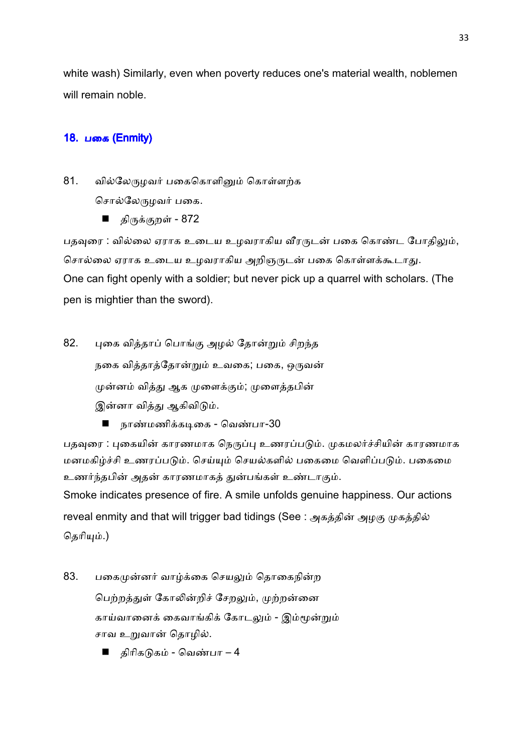white wash) Similarly, even when poverty reduces one's material wealth, noblemen will remain noble.

# 18. பகை (Enmity)

81. வில்லேருமவர் பகைகொளினும் கொள்ளற்க

சொல்லேருழவர் பகை.

■ திருக்குறள் - 872

பதவுரை : வில்லை ஏராக உடைய உழவராகிய வீரருடன் பகை கொண்ட போதிலும், சொல்லை ஏராக உடைய உழவராகிய அறிஞருடன் பகை கொள்ளக்கூடாது. One can fight openly with a soldier; but never pick up a quarrel with scholars. (The pen is mightier than the sword).

- 82. புகை வித்தாப் பொங்கு அழல் தோன்றும் சிறந்த நகை வித்தாத்தோன்றும் உவகை; பகை, ஒருவன் முன்னம் வித்து ஆக முளைக்கும்; முளைத்தபின் இன்னா வித்து ஆகிவிடும்.
	- நாண்மணிக்கடிகை வெண்பா-30

பதவுரை : புகையின் காரணமாக நெருப்பு உணரப்படும். முகமலர்ச்சியின் காரணமாக மனமகிழ்ச்சி உணரப்படும். செய்யும் செயல்களில் பகைமை வெளிப்படும். பகைமை உணர்ந்தபின் அதன் காரணமாகத் துன்பங்கள் உண்டாகும்.

Smoke indicates presence of fire. A smile unfolds genuine happiness. Our actions reveal enmity and that will trigger bad tidings (See : அகத்தின் அழகு முகத்தில் தெரியும்.)

- 83. பகைமுன்னர் வாழ்க்கை செயலும் தொகைநின்ற பெற்றத்துள் கோலின்றிச் சேறலும், முற்றன்னை காய்வானைக் கைவாங்கிக் கோடலும் - இம்மூன்றும் சாவ உறுவான் தொழில்.
	- திரிகடுகம் வெண்பா 4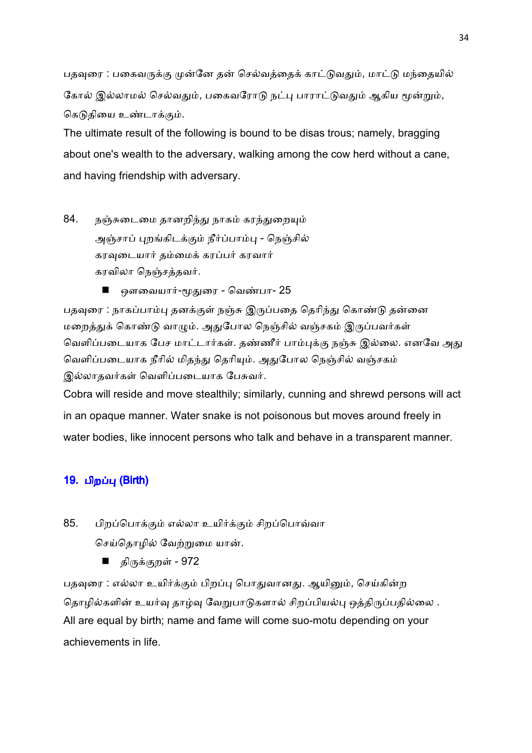பதவுரை : பகைவருக்கு முன்னே தன் செல்வத்தைக் காட்டுவதும், மாட்டு மந்தையில் கோல் இல்லாமல் செல்வதும், பகைவரோடு நட்பு பாராட்டுவதும் ஆகிய மூன்றும், கெடுகியை உண்டாக்கும்.

The ultimate result of the following is bound to be disas trous; namely, bragging about one's wealth to the adversary, walking among the cow herd without a cane, and having friendship with adversary.

- 84. நஞ்சுடைமை தானறிந்து நாகம் கரந்துறையும் அஞ்சாப் புறங்கிடக்கும் நீர்ப்பாம்பு - நெஞ்சில் கரவுடையார் தம்மைக் கரப்பர் கரவார் கரவிலா நெஞ்சத்தவர்.
	- ஔவையார்-மூதுரை வெண்பா- 25

பதவுரை : நாகப்பாம்பு தனக்குள் நஞ்சு இருப்பதை தெரிந்து கொண்டு தன்னை மறைத்துக் கொண்டு வாழும். அதுபோல நெஞ்சில் வஞ்சகம் இருப்பவர்கள் வெளிப்படையாக பேச மாட்டார்கள். தண்ணீர் பாம்புக்கு நஞ்சு இல்லை. எனவே அது வெளிப்படையாக நீரில் மிதந்து தெரியும். அதுபோல நெஞ்சில் வஞ்சகம் இல்லாதவர்கள் வெளிப்படையாக பேசுவர்.

Cobra will reside and move stealthily; similarly, cunning and shrewd persons will act in an opaque manner. Water snake is not poisonous but moves around freely in water bodies, like innocent persons who talk and behave in a transparent manner.

# 19. பிறப்பு (Birth)

- 85. பிறப்பொக்கும் எல்லா உயிர்க்கும் சிறப்பொவ்வா செய்தொழில் வேற்றுமை யான்.
	- திருக்குறள் 972

பதவுரை : எல்லா உயிர்க்கும் பிறப்பு பொதுவானது. ஆயினும், செய்கின்ற தொழில்களின் உயர்வு தாழ்வு வேறுபாடுகளால் சிறப்பியல்பு ஒத்திருப்பதில்லை . All are equal by birth; name and fame will come suo-motu depending on your achievements in life.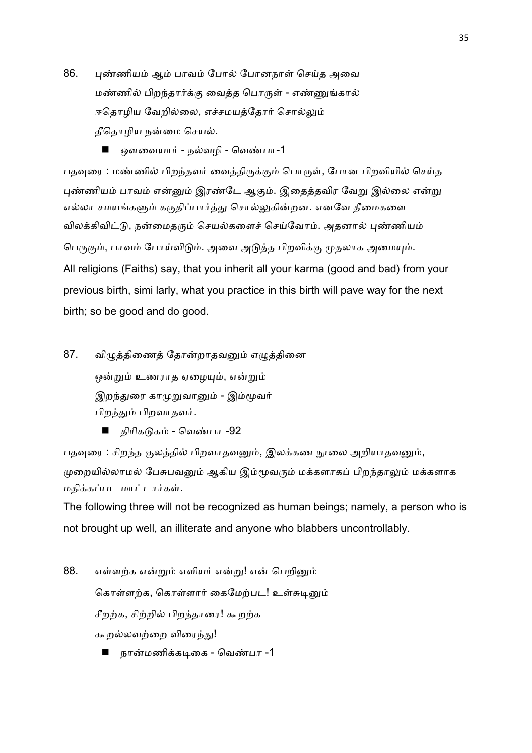- 86. புண்ணியம் ஆம் பாவம் போல் போனநாள் செய்த அவை மண்ணில் பிறந்தார்க்கு வைத்த பொருள் - எண்ணுங்கால் ஈதொழிய வேறில்லை, எச்சமயத்தோர் சொல்லும் தீதொழிய நன்மை செயல்.
	- ஔவையார் நல்வமி வெண்பா-1

பதவுரை : மண்ணில் பிறந்தவர் வைத்திருக்கும் பொருள், போன பிறவியில் செய்த புண்ணியம் பாவம் என்னும் இரண்டே ஆகும். இதைத்தவிர வேறு இல்லை என்று எல்லா சமயங்களும் கருதிப்பார்த்து சொல்லுகின்றன. எனவே தீமைகளை விலக்கிவிட்டு, நன்மைதரும் செயல்களைச் செய்வோம். அதனால் புண்ணியம் பெருகும், பாவம் போய்விடும். அவை அடுத்த பிறவிக்கு முதலாக அமையும். All religions (Faiths) say, that you inherit all your karma (good and bad) from your previous birth, simi larly, what you practice in this birth will pave way for the next birth; so be good and do good.

87. விழுத்திணைத் தோன்றாதவனும் எழுத்தினை ஒன்றும் உணராத ஏழையும், என்றும் இறந்துரை காமுறுவானும் - இம்மூவர் பிறந்தும் பிறவாதவர்.

■ திரிகடுகம் - வெண்பா -92

பதவுரை : சிறந்த குலத்தில் பிறவாதவனும், இலக்கண நூலை அறியாதவனும், முறையில்லாமல் பேசுபவனும் ஆகிய இம்மூவரும் மக்களாகப் பிறந்தாலும் மக்களாக மதிக்கப்பட மாட்டார்கள்.

The following three will not be recognized as human beings; namely, a person who is not brought up well, an illiterate and anyone who blabbers uncontrollably.

- 88. எள்ளற்க என்றும் எளியர் என்று! என் பெறினும் கொள்ளற்க, கொள்ளார் கைமேற்பட! உள்சுடினும் சீறற்க, சிற்றில் பிறந்தாரை! கூறற்க கூறல்லவற்றை விரைந்து!
	- நான்மணிக்கடிகை வெண்பா -1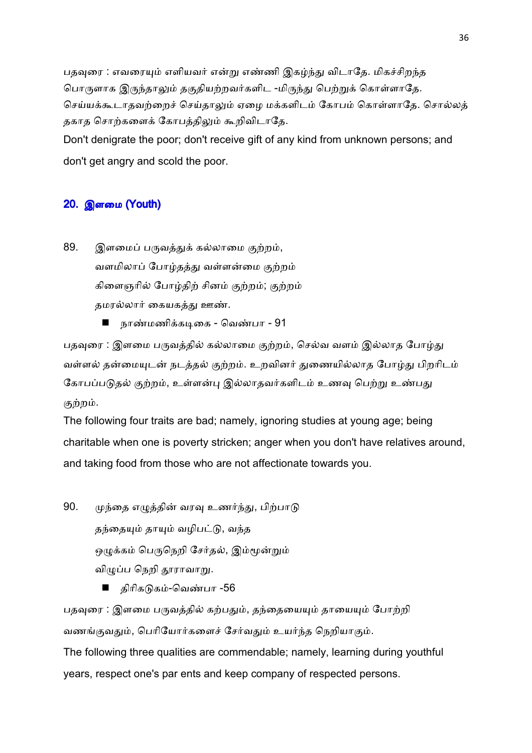பதவுரை : எவரையும் எளியவர் என்று எண்ணி இகழ்ந்து விடாதே. மிகச்சிறந்த பொருளாக இருந்தாலும் தகுதியற்றவர்களிட -மிருந்து பெற்றுக் கொள்ளாதே. செய்யக்கூடாதவற்றைச் செய்தாலும் ஏழை மக்களிடம் கோபம் கொள்ளாதே. சொல்லத் தகாத சொற்களைக் கோபத்திலும் கூறிவிடாதே.

Don't denigrate the poor; don't receive gift of any kind from unknown persons; and don't get angry and scold the poor.

# 20. இளைம (Youth)

- 89. இளமைப் பருவத்துக் கல்லாமை குற்றம், வளமிலாப் போழ்தத்து வள்ளன்மை குற்றம் கிளைஞரில் போழ்திற் சினம் குற்றம்; குற்றம் தமரல்லார் கையகத்து ஊண்.
	- நாண்மணிக்கடிகை வெண்பா 91

பதவுரை : இளமை பருவத்தில் கல்லாமை குற்றம், செல்வ வளம் இல்லாத போழ்து வள்ளல் தன்மையுடன் நடத்தல் குற்றம். உறவினர் துணையில்லாத போழ்து பிறரிடம் கோபப்படுதல் குற்றம், உள்ளன்பு இல்லாதவர்களிடம் உணவு பெற்று உண்பது குற்றம்.

The following four traits are bad; namely, ignoring studies at young age; being charitable when one is poverty stricken; anger when you don't have relatives around, and taking food from those who are not affectionate towards you.

- 90. முந்தை எழுத்தின் வரவு உணர்ந்து, பிற்பாடு தந்தையும் தாயும் வழிபட்டு, வந்த ஒழுக்கம் பெருநெறி சேர்தல், இம்மூன்றும் விழுப்ப நெறி தூராவாறு.
	- திரிகடுகம்-வெண்பா -56

பதவுரை : இளமை பருவத்தில் கற்பதும், தந்தையையும் தாயையும் போற்றி வணங்குவதும், பெரியோர்களைச் சேர்வதும் உயர்ந்த நெறியாகும்.

The following three qualities are commendable; namely, learning during youthful years, respect one's par ents and keep company of respected persons.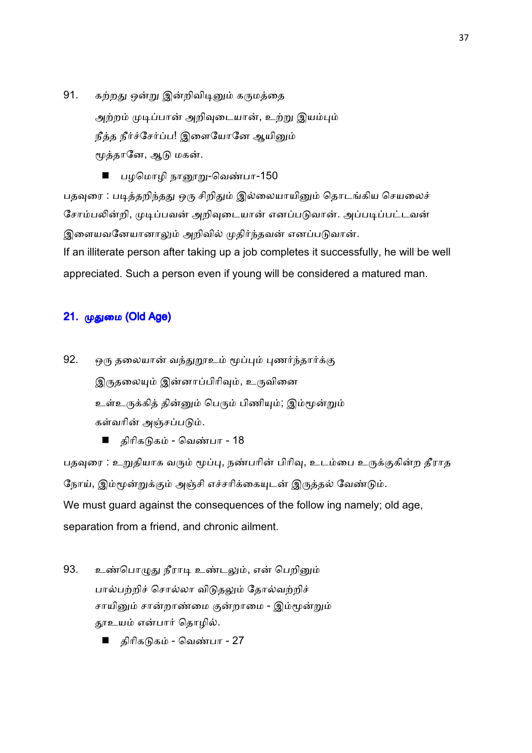- 91. கற்றது ஒன்று இன்றிவிடினும் கருமத்தை அற்றம் முடிப்பான் அறிவுடையான், உற்று இயம்பும் நீத்த நீர்ச்சேர்ப்ப! இளையோனே ஆயினும் மூத்தானே, ஆடு மகன்.
	- பழமொழி நானூறு-வெண்பா-150

பதவுரை : படித்தறிந்தது ஒரு சிறிதும் இல்லையாயினும் தொடங்கிய செயலைச் சோம்பலின்றி, முடிப்பவன் அறிவுடையான் எனப்படுவான். அப்படிப்பட்டவன் இளையவனேயானாலும் அறிவில் முதிர்ந்தவன் எனப்படுவான். If an illiterate person after taking up a job completes it successfully, he will be well appreciated. Such a person even if young will be considered a matured man.

# 21. முதுமை (Old Age)

92. ஒரு தலையான் வந்துறூஉம் மூப்பும் புணர்ந்தார்க்கு இருதலையும் இன்னாப்பிரிவும், உருவினை உள்உருக்கித் தின்னும் பெரும் பிணியும்; இம்மூன்றும் கள்வரின் அஞ்சப்படும்.

■ திரிகடுகம் - வெண்பா - 18

பதவுரை : உறுதியாக வரும் மூப்பு, நண்பரின் பிரிவு, உடம்பை உருக்குகின்ற தீராத நோய், இம்மூன்றுக்கும் அஞ்சி எச்சரிக்கையுடன் இருத்தல் வேண்டும். We must guard against the consequences of the follow ing namely; old age, separation from a friend, and chronic ailment.

- 93. உண்பொழுது நீராடி உண்டலும், என் பெறினும் பால்பற்றிச் சொல்லா விடுதலும் தோல்வற்றிச் சாயினும் சான்றாண்மை குன்றாமை - இம்மூன்றும் தூஉயம் என்பார் தொழில்.
	- திரிகடுகம் வெண்பா 27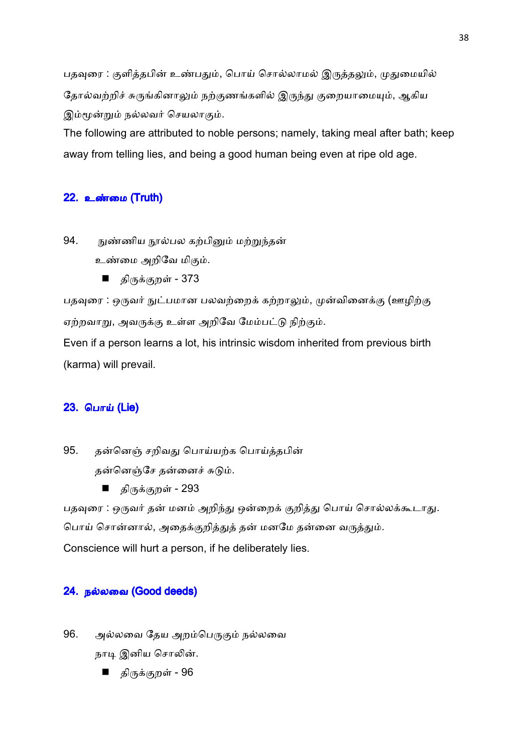பதவுரை : குளித்தபின் உண்பதும், பொய் சொல்லாமல் இருத்தலும், முதுமையில் தோல்வற்றிச் சுருங்கினாலும் நற்குணங்களில் இருந்து குறையாமையும், ஆகிய இம்மூன்றும் நல்லவர் செயலாகும்.

The following are attributed to noble persons; namely, taking meal after bath; keep away from telling lies, and being a good human being even at ripe old age.

## <u>22. உண்மை (Truth)</u>

94. நுண்ணிய நூல்பல கற்பினும் மற்றுந்தன் உண்மை அறிவே மிகும்.

■ திருக்குறள் - 373

பதவுரை : ஒருவர் நுட்பமான பலவற்றைக் கற்றாலும், முன்வினைக்கு (ஊழிற்கு ஏற்றவாறு, அவருக்கு உள்ள அறிவே மேம்பட்டு நிற்கும்.

Even if a person learns a lot, his intrinsic wisdom inherited from previous birth (karma) will prevail.

## **23. பொய் (Lie)**

95. தன்னெஞ் சறிவது பொய்யற்க பொய்த்தபின் தன்னெஞ்சே தன்னைச் சுடும்.

■ திருக்குறள் - 293

பதவுரை : ஒருவர் தன் மனம் அறிந்து ஒன்றைக் குறித்து பொய் சொல்லக்கூடாது. பொய் சொன்னால், அதைக்குறித்துத் தன் மனமே தன்னை வருத்தும். Conscience will hurt a person, if he deliberately lies.

## 24. நல்லவை (Good deeds)

96. அல்லவை தேய அறம்பெருகும் நல்லவை

நாடி இனிய சொலின்.

■ திருக்குறள் - 96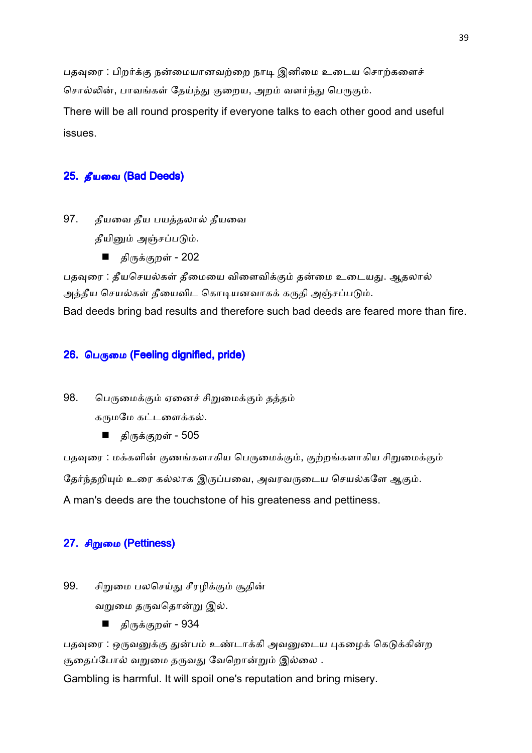பதவுரை : பிறர்க்கு நன்மையானவற்றை நாடி இனிமை உடைய சொற்களைச் சொல்லின், பாவங்கள் தேய்ந்து குறைய, அறம் வளர்ந்து பெருகும்.

There will be all round prosperity if everyone talks to each other good and useful issues.

# 25. தீயவை (Bad Deeds)

- 97. தீயவை தீய பயத்தலால் தீயவை தீயினும் அஞ்சப்படும்.
	- திருக்குறள் 202

பதவுரை : தீயசெயல்கள் தீமையை விளைவிக்கும் தன்மை உடையது. ஆதலால் அத்தீய செயல்கள் தீயைவிட கொடியனவாகக் கருதி அஞ்சப்படும்.

Bad deeds bring bad results and therefore such bad deeds are feared more than fire.

# $26.$  பெருமை (Feeling dignified, pride)

98. பெருமைக்கும் ஏனைச் சிறுமைக்கும் தத்தம்

கருமமே கட்டளைக்கல்.

■ திருக்குறள் - 505

பதவுரை : மக்களின் குணங்களாகிய பெருமைக்கும், குற்றங்களாகிய சிறுமைக்கும்

தேர்ந்தறியும் உரை கல்லாக இருப்பவை, அவரவருடைய செயல்களே ஆகும்.

A man's deeds are the touchstone of his greateness and pettiness.

# 27. சிறுமை (Pettiness)

99. சிறுமை பலசெய்து சீரழிக்கும் சூதின்

வறுமை தருவதொன்று இல்.

■ திருக்குறள் - 934

பதவுரை : ஒருவனுக்கு துன்பம் உண்டாக்கி அவனுடைய புகழைக் கெடுக்கின்ற சூதைப்போல் வறுமை தருவது வேறொன்றும் இல்லை .

Gambling is harmful. It will spoil one's reputation and bring misery.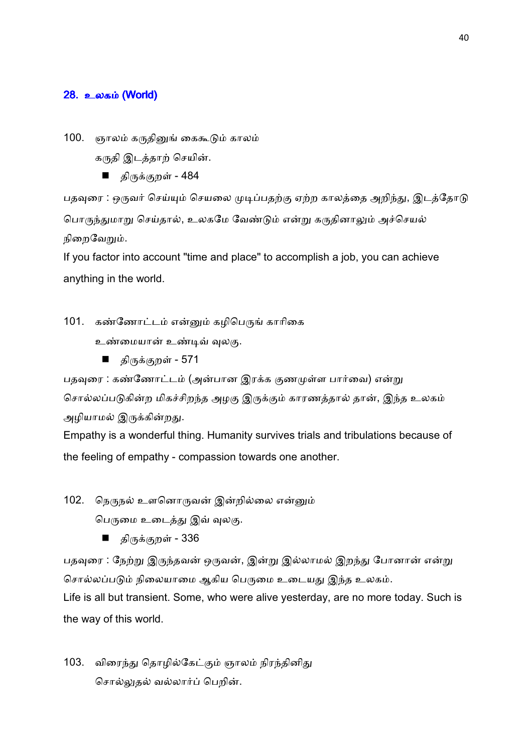### <u>28. உலகம் (World)</u>

100. ஞாலம் கருதினுங் கைகூடும் காலம்

கருதி இடத்தாற் செயின்.

■ திருக்குறள் - 484

பதவுரை : ஒருவர் செய்யும் செயலை முடிப்பதற்கு ஏற்ற காலத்தை அறிந்து, இடத்தோடு பொருந்துமாறு செய்தால், உலகமே வேண்டும் என்று கருதினாலும் அச்செயல் நிறைவேறும்.

If you factor into account "time and place" to accomplish a job, you can achieve anything in the world.

101. கண்ணோட்டம் என்னும் கழிபெருங் காரிகை

- உண்மையான் உண்டிவ் வுலகு.
	- திருக்குறள் 571

பதவுரை : கண்ணோட்டம் (அன்பான இரக்க குணமுள்ள பார்வை) என்று சொல்லப்படுகின்ற மிகச்சிறந்த அழகு இருக்கும் காரணத்தால் தான், இந்த உலகம் அழியாமல் இருக்கின்றது.

Empathy is a wonderful thing. Humanity survives trials and tribulations because of the feeling of empathy - compassion towards one another.

102. நெருநல் உளனொருவன் இன்றில்லை என்னும்

பெருமை உடைத்து இவ் வுலகு.

■ திருக்குறள் - 336

பதவுரை : நேற்று இருந்தவன் ஒருவன், இன்று இல்லாமல் இறந்து போனான் என்று சொல்லப்படும் நிலையாமை ஆகிய பெருமை உடையது இந்த உலகம்.

Life is all but transient. Some, who were alive yesterday, are no more today. Such is the way of this world.

103. விரைந்து தொழில்கேட்கும் ஞாலம் நிரந்தினிது சொல்லுதல் வல்லார்ப் பெறின்.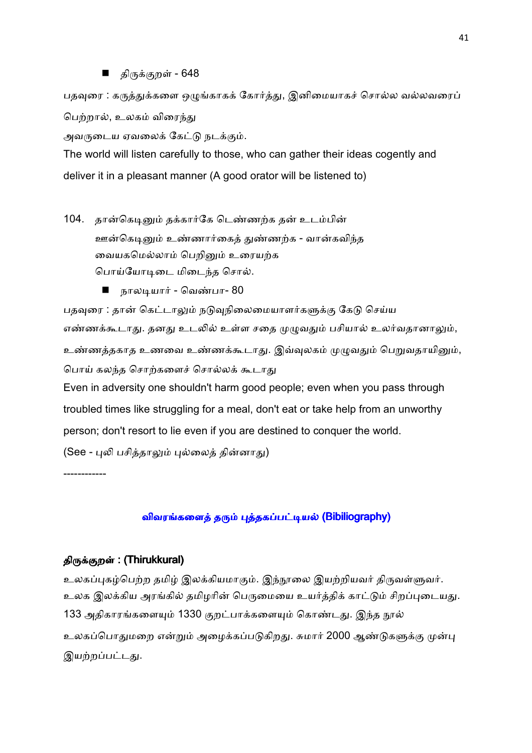#### திருக்குறள் - 648

பதவுரை : கருத்துக்களை ஒழுங்காகக் கோர்த்து, இனிமையாகச் சொல்ல வல்லவரைப் பெற்றால், உலகம் விரைந்து

அவருடைய ஏவலைக் கேட்டு நடக்கும்.

The world will listen carefully to those, who can gather their ideas cogently and deliver it in a pleasant manner (A good orator will be listened to)

104. தான்கெடினும் தக்கார்கே டெண்ணற்க தன் உடம்பின் ஊன்கெடினும் உண்ணார்கைத் துண்ணற்க - வான்கவிந்த வையகமெல்லாம் பெறினும் உரையற்க பொய்யோடிடை மிடைந்த சொல்.

■ நாலடியார் - வெண்பா- 80

பதவுரை : தான் கெட்டாலும் நடுவநிலைமையாளர்களுக்கு கேடு செய்ய எண்ணக்கூடாது. தனது உடலில் உள்ள சதை முழுவதும் பசியால் உலர்வதானாலும், உண்ணத்தகாத உணவை உண்ணக்கூடாது. இவ்வுலகம் முழுவதும் பெறுவதாயினும், பொய் கலந்த சொற்களைச் சொல்லக் கூடாது

Even in adversity one shouldn't harm good people; even when you pass through troubled times like struggling for a meal, don't eat or take help from an unworthy person; don't resort to lie even if you are destined to conquer the world.

(See - புலி பசித்தாலும் புல்லைத் தின்னாது)

------------

# விவரங்களைத் தரும் புத்தகப்பட்டியல் (Bibiliography)

### திருக்குறள் : (Thirukkural)

உலகப்புகழ்பெற்ற தமிழ் இலக்கியமாகும். இந்நூலை இயற்றியவர் திருவள்ளுவர். உலக இலக்கிய அரங்கில் தமிழரின் பெருமையை உயர்த்திக் காட்டும் சிறப்புடையது. 133 அதிகாரங்களையும் 1330 குறட்பாக்களையும் கொண்டது. இந்த நூல் உலகப்பொதுமறை என்றும் அழைக்கப்படுகிறது. சுமார் 2000 ஆண்டுகளுக்கு முன்பு இயற்றப்பட்டது.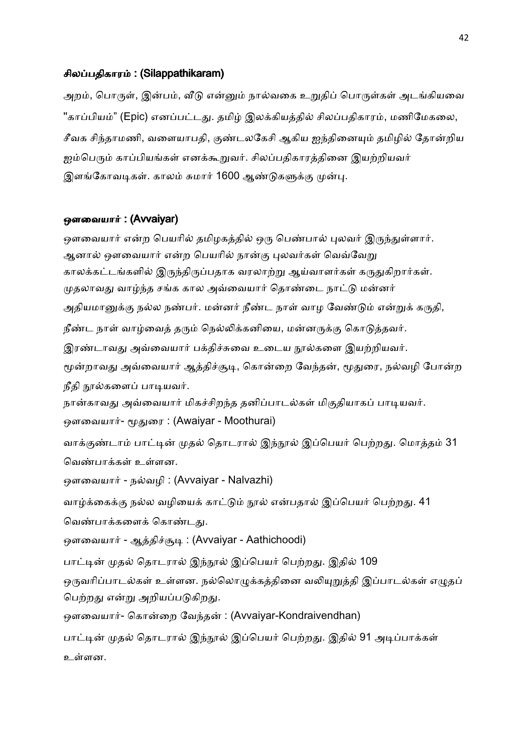### சிலப்பதிகாரம்: (Silappathikaram)

அறம், பொருள், இன்பம், வீடு என்னும் நால்வகை உறுதிப் பொருள்கள் அடங்கியவை "காப்பியம்" (Epic) எனப்பட்டது. தமிழ் இலக்கியத்தில் சிலப்பதிகாரம், மணிமேகலை, சீவக சிந்தாமணி, வளையாபதி, குண்டலகேசி ஆகிய ஐந்தினையும் தமிழில் தோன்றிய ஐம்பெரும் காப்பியங்கள் எனக்கூறுவர். சிலப்பதிகாரத்தினை இயற்றியவர் இளங்கோவடிகள். காலம் சுமார் 1600 ஆண்டுகளுக்கு முன்பு.

### ஒளவையார் : (Avvaiyar)

ஒளவையார் என்ற பெயரில் தமிழகத்தில் ஒரு பெண்பால் புலவர் இருந்துள்ளார். ஆனால் ஔவையார் என்ற பெயரில் நான்கு புலவர்கள் வெவ்வேறு காலக்கட்டங்களில் இருந்திருப்பதாக வரலாற்று ஆய்வாளர்கள் கருதுகிறார்கள். முதலாவது வாழ்ந்த சங்க கால அவ்வையார் தொண்டை நாட்டு மன்னர் அதியமானுக்கு நல்ல நண்பர். மன்னர் நீண்ட நாள் வாழ வேண்டும் என்றுக் கருதி, நீண்ட நாள் வாழ்வைத் தரும் நெல்லிக்கனியை, மன்னருக்கு கொடுத்தவர். இரண்டாவது அவ்வையார் பக்திச்சுவை உடைய நூல்களை இயற்றியவர். மூன்றாவது அவ்வையார் ஆத்திச்சூடி, கொன்றை வேந்தன், மூதுரை, நல்வழி போன்ற நீதி நூல்களைப் பாடியவர். நான்காவது அவ்வையார் மிகச்சிறந்த தனிப்பாடல்கள் மிகுதியாகப் பாடியவர். ஒளவையார்- மூதுரை : (Awaiyar - Moothurai) வாக்குண்டாம் பாட்டின் முதல் தொடரால் இந்நூல் இப்பெயர் பெற்றது. மொத்தம் 31 வெண்பாக்கள் உள்ளன. ஒளவையார் - நல்வழி : (Avvaiyar - Nalvazhi) வாழ்க்கைக்கு நல்ல வழியைக் காட்டும் நூல் என்பதால் இப்பெயர் பெற்றது. 41 வெண்பாக்களைக் கொண்டது. ஒளவையார் - ஆத்திச்சூடி : (Avvaiyar - Aathichoodi) பாட்டின் முதல் தொடரால் இந்நூல் இப்பெயர் பெற்றது. இதில் 109 ஒருவரிப்பாடல்கள் உள்ளன. நல்லொழுக்கத்தினை வலியுறுத்தி இப்பாடல்கள் எழுதப் பெற்றது என்று அறியப்படுகிறது. ஒளவையார்- கொன்றை வேந்தன் : (Avvaiyar-Kondraivendhan) பாட்டின் முதல் தொடரால் இந்நூல் இப்பெயர் பெற்றது. இதில் 91 அடிப்பாக்கள் உளன.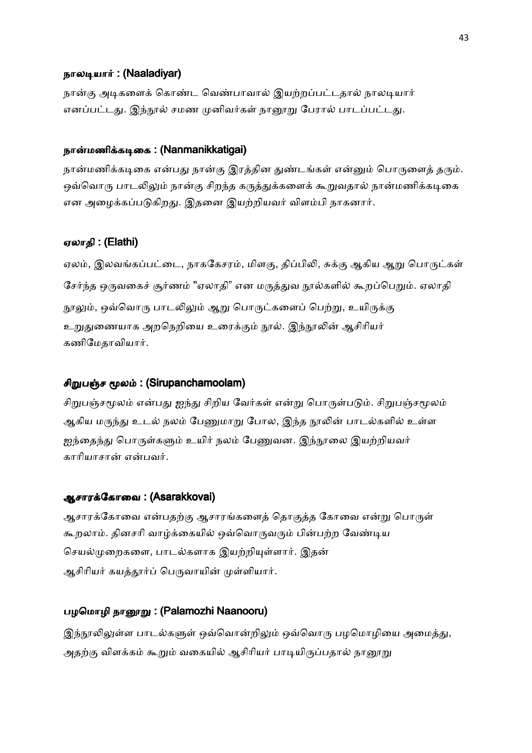#### நாலடியார்: (Naaladiyar)

நான்கு அடிகளைக் கொண்ட வெண்பாவால் இயற்றப்பட்டதால் நாலடியார் எனப்பட்டது. இந்நூல் சமண முனிவர்கள் நானூறு பேரால் பாடப்பட்டது.

# நான்மணிக்கடிகை: (Nanmanikkatigai)

நான்மணிக்கடிகை என்பது நான்கு இரத்தின துண்டங்கள் என்னும் பொருளைத் தரும். ஒவ்வொரு பாடலிலும் நான்கு சிறந்த கருத்துக்களைக் கூறுவதால் நான்மணிக்கடிகை என அழைக்கப்படுகிறது. இதனை இயற்றியவர் விளம்பி நாகனார்.

### ஏலாதி : (Elathi)

ஏலம், இலவங்கப்பட்டை, நாககேசரம், மிளகு, திப்பிலி, சுக்கு ஆகிய ஆறு பொருட்கள் சேர்ந்த ஒருவகைச் சூர்ணம் "ஏலாதி" என மருத்துவ நூல்களில் கூறப்பெறும். ஏலாதி நூலும், ஒவ்வொரு பாடலிலும் ஆறு பொருட்களைப் பெற்று, உயிருக்கு உறுதுணையாக அறநெறியை உரைக்கும் நூல். இந்நூலின் ஆசிரியர் கணிமேதாவியார்.

### சிறுபஞ்ச மூலம்: (Sirupanchamoolam)

சிறுபஞ்சமூலம் என்பது ஐந்து சிறிய வேர்கள் என்று பொருள்படும். சிறுபஞ்சமூலம் ஆகிய மருந்து உடல் நலம் பேணுமாறு போல, இந்த நூலின் பாடல்களில் உள்ள ஐந்தைந்து பொருள்களும் உயிர் நலம் பேணுவன. இந்நூலை இயற்றியவர் காரியாசான் என்பவர்.

### ஆசாரக்கோவை : (Asarakkovai)

ஆசாரக்கோவை என்பதற்கு ஆசாரங்களைத் தொகுத்த கோவை என்று பொருள் கூறலாம். தினசரி வாழ்க்கையில் ஒவ்வொருவரும் பின்பற்ற வேண்டிய செயல்முறைகளை, பாடல்களாக இயற்றியுள்ளார். இதன் ஆசிரியர் கயத்தூர்ப் பெருவாயின் முள்ளியார்.

### பழமொழி நானூறு: (Palamozhi Naanooru)

இந்நூலிலுள்ள பாடல்களுள் ஒவ்வொன்றிலும் ஒவ்வொரு பழமொழியை அமைத்து, அதற்கு விளக்கம் கூறும் வகையில் ஆசிரியர் பாடியிருப்பதால் நாரைறு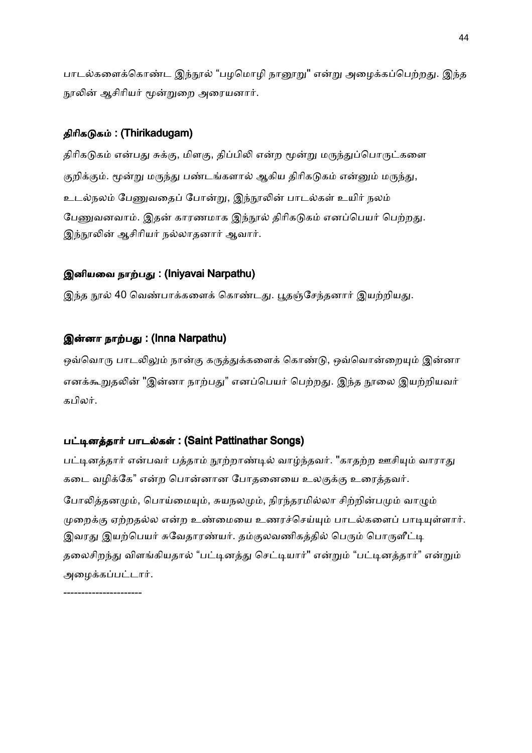பாடல்களைக்கொண்ட இந்நூல் "பழமொழி நானூறு" என்று அழைக்கப்பெற்றது. இந்த நூலின் ஆசிரியர் மூன்றுறை அரையனார்.

### திரிகடுகம் : (Thirikadugam)

திரிகடுகம் என்பது சுக்கு, மிளகு, திப்பிலி என்ற மூன்று மருந்துப்பொருட்களை குறிக்கும். மூன்று மருந்து பண்டங்களால் ஆகிய திரிகடுகம் என்னும் மருந்து, உடல்நலம் பேணுவதைப் போன்று, இந்நூலின் பாடல்கள் உயிர் நலம் பேணுவனவாம். இதன் காரணமாக இந்நூல் திரிகடுகம் எனப்பெயர் பெற்றது. இந்நூலின் ஆசிரியர் நல்லாதனார் ஆவார்.

### இனியவை நாற்பது: (Iniyavai Narpathu)

இந்த நூல் 40 வெண்பாக்களைக் கொண்டது. பூதஞ்சேந்தனார் இயற்றியது.

### இன்னா நாற்பது : (Inna Narpathu)

ஒவ்வொரு பாடலிலும் நான்கு கருத்துக்களைக் கொண்டு, ஒவ்வொன்றையும் இன்னா எனக்கூறுதலின் "இன்னா நாற்பது" எனப்பெயர் பெற்றது. இந்த நூலை இயற்றியவர் கபிலர்.

### பட்டினத்தார் பாடல்கள் : (Saint Pattinathar Songs)

பட்டினத்தார் என்பவர் பத்தாம் நூற்றாண்டில் வாழ்ந்தவர். "காதற்ற ஊசியும் வாராது கடை வழிக்கே" என்ற பொன்னான போதனையை உலகுக்கு உரைத்தவர். போலித்தனமும், பொய்மையும், சுயநலமும், நிரந்தரமில்லா சிற்றின்பமும் வாழும் முறைக்கு ஏற்றதல்ல என்ற உண்மையை உணரச்செய்யும் பாடல்களைப் பாடியுள்ளார். இவரது இயற்பெயர் சுவேதாரண்யர். தம்குலவணிகத்தில் பெரும் பொருளீட்டி தலைசிறந்து விளங்கியதால் "பட்டினத்து செட்டியார்" என்றும் "பட்டினத்தார்" என்றும் அழைக்கப்பட்டார்.

----------------------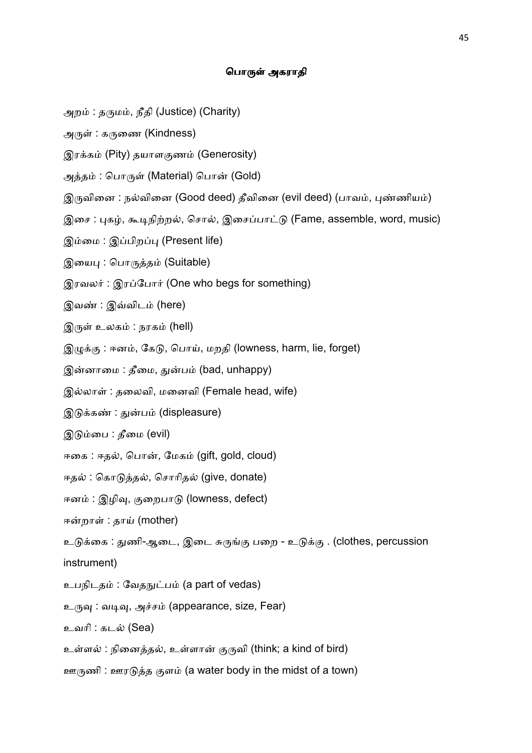### பொருள் அகராதி

- அறம் : தருமம், நீதி (Justice) (Charity)
- அருள் : கருணை (Kindness)
- இரக்கம் (Pity) தயாளகுணம் (Generosity)
- அத்தம் : பொருள் (Material) பொன் (Gold)
- இருவினை : நல்வினை (Good deed) தீவினை (evil deed) (பாவம், புண்ணியம்)
- இசை: புகழ், கூடிநிற்றல், சொல், இசைப்பாட்டு (Fame, assemble, word, music)
- இம்மை: இப்பிறப்பு (Present life)
- இயைபு: பொருத்தம் (Suitable)
- இரவலர்: இரப்போர் (One who begs for something)
- இவண் : இவ்விடம் (here)
- இருள் உலகம் : நரகம் (hell)
- இழுக்கு : ஈனம், கேடு, பொய், மறதி (lowness, harm, lie, forget)
- இன்னாமை : தீமை, துன்பம் (bad, unhappy)
- இல்லாள் : தலைவி, மனைவி (Female head, wife)
- இடுக்கண் : துன்பம் (displeasure)
- இடும்பை : தீமை (evil)
- ஈகை : ஈதல், பொன், மேகம் (gift, gold, cloud)
- ஈதல் : கொடுத்தல், சொரிதல் (give, donate)
- ஈனம் : இழிவு, குறைபாடு (lowness, defect)
- ஈன்றாள் : தாய் (mother)
- உடுக்கை : துணி-ஆடை, இடை சுருங்கு பறை உடுக்கு . (clothes, percussion
- instrument)
- உபநிடதம் : வேதநுட்பம் (a part of vedas)
- உருவு: வடிவு, அச்சம் (appearance, size, Fear)
- உவாி : கட (Sea)
- உள்ளல் : நினைத்தல், உள்ளான் குருவி (think; a kind of bird)
- ஊருணி : ஊரடுத்த குளம் (a water body in the midst of a town)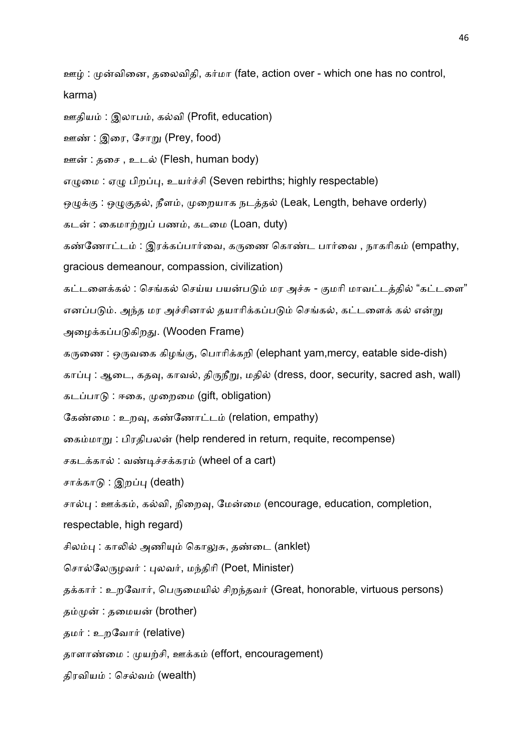ஊழ் : முன்வினை, தலைவிதி, கர்மா (fate, action over - which one has no control, karma)

- ஊதியம் : இலாபம், கல்வி (Profit, education)
- ஊண் : இரை, சோறு (Prey, food)
- ஊன் : தசை, உடல் (Flesh, human body)
- எமுமை: ஏமு பிறப்பு, உயர்ச்சி (Seven rebirths; highly respectable)
- ஒழுக்கு: ஒழுகுதல், நீளம், முறையாக நடத்தல் (Leak, Length, behave orderly)
- கடன் : கைமாற்றுப் பணம், கடமை (Loan, duty)
- கண்ணோட்டம் : இரக்கப்பார்வை, கருணை கொண்ட பார்வை , நாகரிகம் (empathy,
- gracious demeanour, compassion, civilization)
- கட்டளைக்கல் : செங்கல் செய்ய பயன்படும் மர அச்சு குமரி மாவட்டத்தில் "கட்டளை"
- எனப்படும். அந்த மர அச்சினால் தயாரிக்கப்படும் செங்கல், கட்டளைக் கல் என்று
- அழைக்கப்படுகிறது. (Wooden Frame)
- கருணை : ஒருவகை கிழங்கு, பொரிக்கறி (elephant yam,mercy, eatable side-dish)
- காப்பு : ஆடை, கதவு, காவல், திருநீறு, மதில் (dress, door, security, sacred ash, wall)
- கடப்பாடு : ஈகை, முறைமை (gift, obligation)
- கேண்மை : உறவு, கண்ணோட்டம் (relation, empathy)
- கைம்மாறு : பிரதிபலன் (help rendered in return, requite, recompense)
- சகடக்கால் : வண்டிச்சக்கரம் (wheel of a cart)
- சாக்காடு : இறப்பு (death)
- சால்பு : ஊக்கம், கல்வி, நிறைவு, மேன்மை (encourage, education, completion,
- respectable, high regard)
- சிலம்பு : காலில் அணியும் கொலுசு, தண்டை (anklet)
- சொல்லேருழவர் : புலவர், மந்திரி (Poet, Minister)
- தக்கார் : உறவோர், பெருமையில் சிறந்தவர் (Great, honorable, virtuous persons)
- தம்முன் : தமையன் (brother)
- தமர் : உறவோர் (relative)
- தாளாண்மை : முயற்சி, ஊக்கம் (effort, encouragement)
- திரவியம் : செல்வம் (wealth)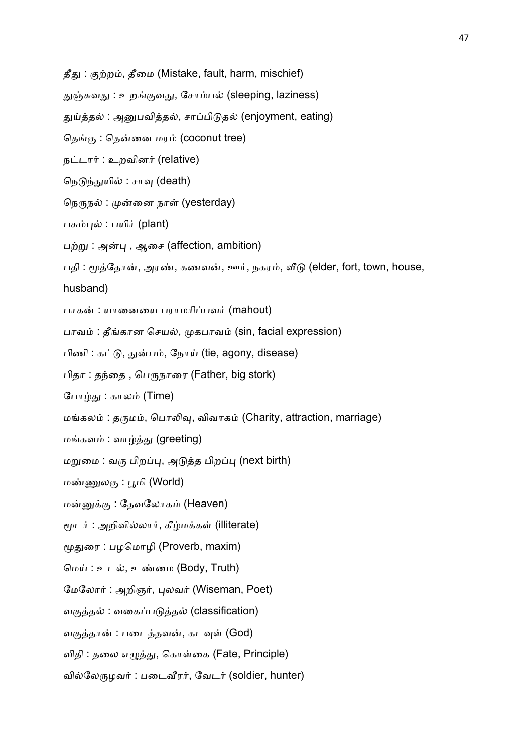தீது: குற்றம், தீமை (Mistake, fault, harm, mischief)

துஞ்சுவது : உறங்குவது, சோம்பல் (sleeping, laziness)

துய்த்தல் : அனுபவித்தல், சாப்பிடுதல் (enjoyment, eating)

தெங்கு : தென்னை மரம் (coconut tree)

நட்டார் : உறவினர் (relative)

- நெடுந்துயில் : சாவு (death)
- நெருநல் : முன்னை நாள் (yesterday)
- பசும்புல் : பயிர் (plant)
- பற்று: அன்பு, ஆசை (affection, ambition)

பதி : மூத்தோன், அரண், கணவன், ஊர், நகரம், வீடு (elder, fort, town, house,

husband)

- பாகன் : யானையை பராமரிப்பவர் (mahout)
- பாவம் : தீங்கான செயல், முகபாவம் (sin, facial expression)
- பிணி : கட்டு, துன்பம், நோய் (tie, agony, disease)
- பிதா : தந்தை, பெருநாரை (Father, big stork)
- போழ்து : காலம் (Time)
- மங்கலம் : தருமம், பொலிவு, விவாகம் (Charity, attraction, marriage)
- மங்களம் : வாழ்த்து (greeting)
- மறுமை : வரு பிறப்பு, அடுத்த பிறப்பு (next birth)
- மண்ணுலகு : பூமி (World)
- மன்னுக்கு : தேவலோகம் (Heaven)
- மூடர் : அறிவில்லார், கீழ்மக்கள் (illiterate)
- மூதுரை : பழமொழி (Proverb, maxim)
- மெய் : உடல், உண்மை (Body, Truth)
- மேலோர் : அறிஞர், புலவர் (Wiseman, Poet)
- வகுத்தல் : வகைப்படுத்தல் (classification)
- வகுத்தான் : படைத்தவன், கடவுள் (God)
- விதி : தலை எழுத்து, கொள்கை (Fate, Principle)
- வில்லேருழவர் : படைவீரர், வேடர் (soldier, hunter)